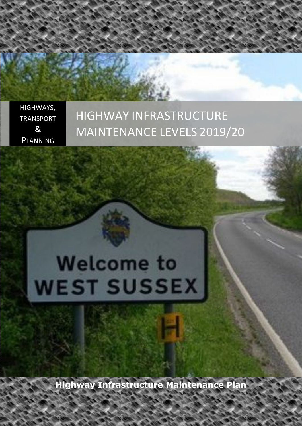HIGHWAYS, TRANSPORT & PLANNING

# HIGHWAY INFRASTRUCTURE MAINTENANCE LEVELS 2019/20

# **Welcome to WEST SUSSEX**

**Highway Infrastructure Maintenance Plan**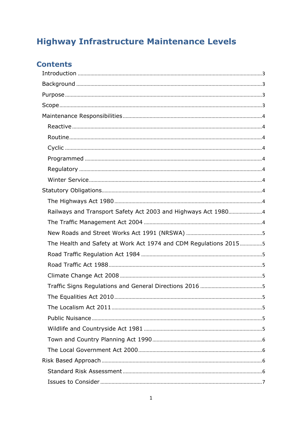# **Highway Infrastructure Maintenance Levels**

# **Contents**

| The Health and Safety at Work Act 1974 and CDM Regulations 20155 |
|------------------------------------------------------------------|
|                                                                  |
|                                                                  |
|                                                                  |
|                                                                  |
|                                                                  |
|                                                                  |
|                                                                  |
|                                                                  |
|                                                                  |
|                                                                  |
|                                                                  |
|                                                                  |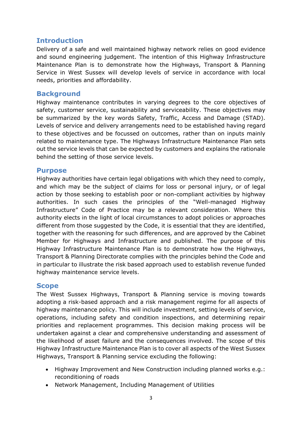# <span id="page-3-0"></span>**Introduction**

Delivery of a safe and well maintained highway network relies on good evidence and sound engineering judgement. The intention of this Highway Infrastructure Maintenance Plan is to demonstrate how the Highways, Transport & Planning Service in West Sussex will develop levels of service in accordance with local needs, priorities and affordability.

# <span id="page-3-1"></span>**Background**

Highway maintenance contributes in varying degrees to the core objectives of safety, customer service, sustainability and serviceability. These objectives may be summarized by the key words Safety, Traffic, Access and Damage (STAD). Levels of service and delivery arrangements need to be established having regard to these objectives and be focussed on outcomes, rather than on inputs mainly related to maintenance type. The Highways Infrastructure Maintenance Plan sets out the service levels that can be expected by customers and explains the rationale behind the setting of those service levels.

# <span id="page-3-2"></span>**Purpose**

Highway authorities have certain legal obligations with which they need to comply, and which may be the subject of claims for loss or personal injury, or of legal action by those seeking to establish poor or non-compliant activities by highway authorities. In such cases the principles of the "Well-managed Highway Infrastructure" Code of Practice may be a relevant consideration. Where this authority elects in the light of local circumstances to adopt policies or approaches different from those suggested by the Code, it is essential that they are identified, together with the reasoning for such differences, and are approved by the Cabinet Member for Highways and Infrastructure and published. The purpose of this Highway Infrastructure Maintenance Plan is to demonstrate how the Highways, Transport & Planning Directorate complies with the principles behind the Code and in particular to illustrate the risk based approach used to establish revenue funded highway maintenance service levels.

# <span id="page-3-3"></span>**Scope**

The West Sussex Highways, Transport & Planning service is moving towards adopting a risk-based approach and a risk management regime for all aspects of highway maintenance policy. This will include investment, setting levels of service, operations, including safety and condition inspections, and determining repair priorities and replacement programmes. This decision making process will be undertaken against a clear and comprehensive understanding and assessment of the likelihood of asset failure and the consequences involved. The scope of this Highway Infrastructure Maintenance Plan is to cover all aspects of the West Sussex Highways, Transport & Planning service excluding the following:

- Highway Improvement and New Construction including planned works e.g.: reconditioning of roads
- Network Management, Including Management of Utilities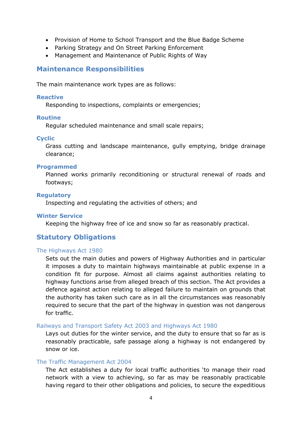- Provision of Home to School Transport and the Blue Badge Scheme
- Parking Strategy and On Street Parking Enforcement
- Management and Maintenance of Public Rights of Way

# <span id="page-4-0"></span>**Maintenance Responsibilities**

The main maintenance work types are as follows:

### <span id="page-4-1"></span>**Reactive**

Responding to inspections, complaints or emergencies;

### <span id="page-4-2"></span>**Routine**

Regular scheduled maintenance and small scale repairs;

### <span id="page-4-3"></span>**Cyclic**

Grass cutting and landscape maintenance, gully emptying, bridge drainage clearance;

### <span id="page-4-4"></span>**Programmed**

Planned works primarily reconditioning or structural renewal of roads and footways;

### <span id="page-4-5"></span>**Regulatory**

Inspecting and regulating the activities of others; and

### <span id="page-4-6"></span>**Winter Service**

Keeping the highway free of ice and snow so far as reasonably practical.

# <span id="page-4-7"></span>**Statutory Obligations**

### <span id="page-4-8"></span>The Highways Act 1980

Sets out the main duties and powers of Highway Authorities and in particular it imposes a duty to maintain highways maintainable at public expense in a condition fit for purpose. Almost all claims against authorities relating to highway functions arise from alleged breach of this section. The Act provides a defence against action relating to alleged failure to maintain on grounds that the authority has taken such care as in all the circumstances was reasonably required to secure that the part of the highway in question was not dangerous for traffic.

### <span id="page-4-9"></span>Railways and Transport Safety Act 2003 and Highways Act 1980

Lays out duties for the winter service, and the duty to ensure that so far as is reasonably practicable, safe passage along a highway is not endangered by snow or ice.

#### <span id="page-4-10"></span>The Traffic Management Act 2004

The Act establishes a duty for local traffic authorities 'to manage their road network with a view to achieving, so far as may be reasonably practicable having regard to their other obligations and policies, to secure the expeditious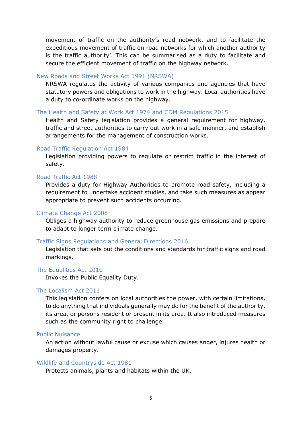movement of traffic on the authority's road network, and to facilitate the expeditious movement of traffic on road networks for which another authority is the traffic authority'. This can be summarised as a duty to facilitate and secure the efficient movement of traffic on the highway network.

### <span id="page-5-0"></span>New Roads and Street Works Act 1991 (NRSWA)

NRSWA regulates the activity of various companies and agencies that have statutory powers and obligations to work in the highway. Local authorities have a duty to co-ordinate works on the highway.

#### <span id="page-5-1"></span>The Health and Safety at Work Act 1974 and CDM Regulations 2015

Health and Safety legislation provides a general requirement for highway, traffic and street authorities to carry out work in a safe manner, and establish arrangements for the management of construction works.

#### <span id="page-5-2"></span>Road Traffic Regulation Act 1984

Legislation providing powers to regulate or restrict traffic in the interest of safety.

### <span id="page-5-3"></span>Road Traffic Act 1988

Provides a duty for Highway Authorities to promote road safety, including a requirement to undertake accident studies, and take such measures as appear appropriate to prevent such accidents occurring.

#### <span id="page-5-4"></span>Climate Change Act 2008

Obliges a highway authority to reduce greenhouse gas emissions and prepare to adapt to longer term climate change.

#### <span id="page-5-5"></span>Traffic Signs Regulations and General Directions 2016

Legislation that sets out the conditions and standards for traffic signs and road markings.

#### <span id="page-5-6"></span>The Equalities Act 2010

Invokes the Public Equality Duty.

### <span id="page-5-7"></span>The Localism Act 2011

This legislation confers on local authorities the power, with certain limitations, to do anything that individuals generally may do for the benefit of the authority, its area, or persons resident or present in its area. It also introduced measures such as the community right to challenge.

### <span id="page-5-8"></span>Public Nuisance

An action without lawful cause or excuse which causes anger, injures health or damages property.

#### <span id="page-5-9"></span>Wildlife and Countryside Act 1981

Protects animals, plants and habitats within the UK.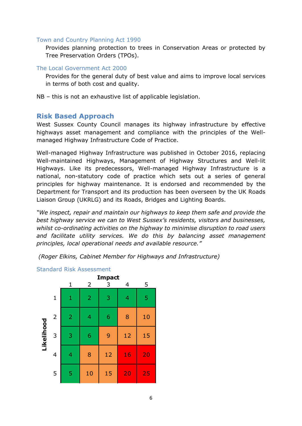### <span id="page-6-0"></span>Town and Country Planning Act 1990

Provides planning protection to trees in Conservation Areas or protected by Tree Preservation Orders (TPOs).

### <span id="page-6-1"></span>The Local Government Act 2000

Provides for the general duty of best value and aims to improve local services in terms of both cost and quality.

NB – this is not an exhaustive list of applicable legislation.

# <span id="page-6-2"></span>**Risk Based Approach**

West Sussex County Council manages its highway infrastructure by effective highways asset management and compliance with the principles of the Wellmanaged Highway Infrastructure Code of Practice.

Well-managed Highway Infrastructure was published in October 2016, replacing Well-maintained Highways, Management of Highway Structures and Well-lit Highways. Like its predecessors, Well-managed Highway Infrastructure is a national, non-statutory code of practice which sets out a series of general principles for highway maintenance. It is endorsed and recommended by the Department for Transport and its production has been overseen by the UK Roads Liaison Group (UKRLG) and its Roads, Bridges and Lighting Boards.

*"We inspect, repair and maintain our highways to keep them safe and provide the best highway service we can to West Sussex's residents, visitors and businesses, whilst co-ordinating activities on the highway to minimise disruption to road users and facilitate utility services. We do this by balancing asset management principles, local operational needs and available resource."* 

*(Roger Elkins, Cabinet Member for Highways and Infrastructure)*



### <span id="page-6-3"></span>Standard Risk Assessment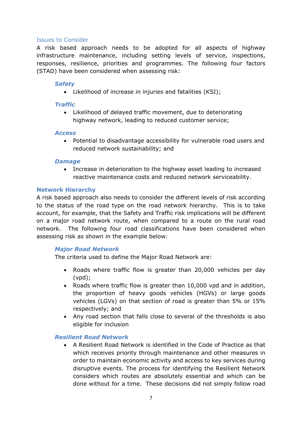### <span id="page-7-0"></span>Issues to Consider

A risk based approach needs to be adopted for all aspects of highway infrastructure maintenance, including setting levels of service, inspections, responses, resilience, priorities and programmes. The following four factors (STAD) have been considered when assessing risk:

### *Safety*

Likelihood of increase in injuries and fatalities (KSI);

### *Traffic*

 Likelihood of delayed traffic movement, due to deteriorating highway network, leading to reduced customer service;

### *Access*

 Potential to disadvantage accessibility for vulnerable road users and reduced network sustainability; and

### *Damage*

 Increase in deterioration to the highway asset leading to increased reactive maintenance costs and reduced network serviceability.

### <span id="page-7-1"></span>**Network Hierarchy**

A risk based approach also needs to consider the different levels of risk according to the status of the road type on the road network hierarchy. This is to take account, for example, that the Safety and Traffic risk implications will be different on a major road network route, when compared to a route on the rural road network. The following four road classifications have been considered when assessing risk as shown in the example below:

### *Major Road Network*

The criteria used to define the Major Road Network are:

- Roads where traffic flow is greater than 20,000 vehicles per day (vpd);
- Roads where traffic flow is greater than 10,000 vpd and in addition, the proportion of heavy goods vehicles (HGVs) or large goods vehicles (LGVs) on that section of road is greater than 5% or 15% respectively; and
- Any road section that falls close to several of the thresholds is also eligible for inclusion

### *Resilient Road Network*

 A Resilient Road Network is identified in the Code of Practice as that which receives priority through maintenance and other measures in order to maintain economic activity and access to key services during disruptive events. The process for identifying the Resilient Network considers which routes are absolutely essential and which can be done without for a time. These decisions did not simply follow road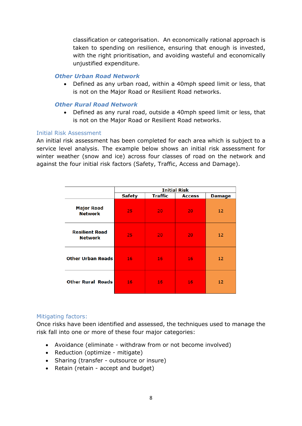classification or categorisation. An economically rational approach is taken to spending on resilience, ensuring that enough is invested, with the right prioritisation, and avoiding wasteful and economically unjustified expenditure.

### *Other Urban Road Network*

 Defined as any urban road, within a 40mph speed limit or less, that is not on the Major Road or Resilient Road networks.

### *Other Rural Road Network*

 Defined as any rural road, outside a 40mph speed limit or less, that is not on the Major Road or Resilient Road networks.

### <span id="page-8-0"></span>Initial Risk Assessment

An initial risk assessment has been completed for each area which is subject to a service level analysis. The example below shows an initial risk assessment for winter weather (snow and ice) across four classes of road on the network and against the four initial risk factors (Safety, Traffic, Access and Damage).

|                                         |               |                | <b>Initial Risk</b> |                 |
|-----------------------------------------|---------------|----------------|---------------------|-----------------|
|                                         | <b>Safety</b> | <b>Traffic</b> | <b>Access</b>       | <b>Damage</b>   |
| <b>Major Road</b><br><b>Network</b>     | 25            | 20             | 20                  | 12 <sub>2</sub> |
| <b>Resilient Road</b><br><b>Network</b> | 25            | 20             | 20                  | 12 <sub>2</sub> |
| <b>Other Urban Roads</b>                | 16            | 16             | 16                  | 12 <sub>2</sub> |
| <b>Other Rural Roads</b>                | 16            | 16             | 16                  | 12              |

### <span id="page-8-1"></span>Mitigating factors:

Once risks have been identified and assessed, the techniques used to manage the risk fall into one or more of these four major categories:

- Avoidance (eliminate withdraw from or not become involved)
- Reduction (optimize mitigate)
- Sharing (transfer outsource or insure)
- Retain (retain accept and budget)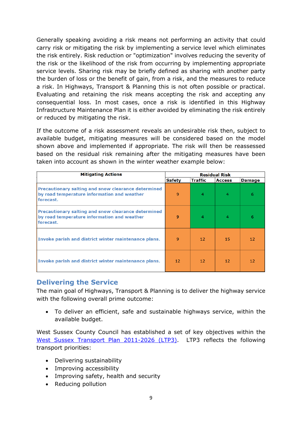Generally speaking avoiding a risk means not performing an activity that could carry risk or mitigating the risk by implementing a service level which eliminates the risk entirely. Risk reduction or "optimization" involves reducing the severity of the risk or the likelihood of the risk from occurring by implementing appropriate service levels. Sharing risk may be briefly defined as sharing with another party the burden of loss or the benefit of gain, from a risk, and the measures to reduce a risk. In Highways, Transport & Planning this is not often possible or practical. Evaluating and retaining the risk means accepting the risk and accepting any consequential loss. In most cases, once a risk is identified in this Highway Infrastructure Maintenance Plan it is either avoided by eliminating the risk entirely or reduced by mitigating the risk.

If the outcome of a risk assessment reveals an undesirable risk then, subject to available budget, mitigating measures will be considered based on the model shown above and implemented if appropriate. The risk will then be reassessed based on the residual risk remaining after the mitigating measures have been taken into account as shown in the winter weather example below:

| <b>Mitigating Actions</b>                                                                                       |                 |                | <b>Residual Risk</b> |               |
|-----------------------------------------------------------------------------------------------------------------|-----------------|----------------|----------------------|---------------|
|                                                                                                                 | <b>Safety</b>   | <b>Traffic</b> | <b>Access</b>        | <b>Damage</b> |
| Precautionary salting and snow clearance determined<br>by road temperature information and weather<br>forecast. | 9               | 4              | 4                    | 6             |
| Precautionary salting and snow clearance determined<br>by road temperature information and weather<br>forecast. | 9               | 4              | 4                    | 6             |
| Invoke parish and district winter maintenance plans.                                                            | 9               | 12             | 15                   | 12            |
| Invoke parish and district winter maintenance plans.                                                            | 12 <sub>2</sub> | 12             | 12                   | 12            |

# <span id="page-9-0"></span>**Delivering the Service**

The main goal of Highways, Transport & Planning is to deliver the highway service with the following overall prime outcome:

 To deliver an efficient, safe and sustainable highways service, within the available budget.

West Sussex County Council has established a set of key objectives within the West Sussex Transport Plan [2011-2026](https://www.westsussex.gov.uk/about-the-council/policies-and-reports/roads-and-travel-policy-and-reports/west-sussex-transport-plan-2011-26-ltp3/) (LTP3). LTP3 reflects the following transport priorities:

- Delivering sustainability
- Improving accessibility
- Improving safety, health and security
- Reducing pollution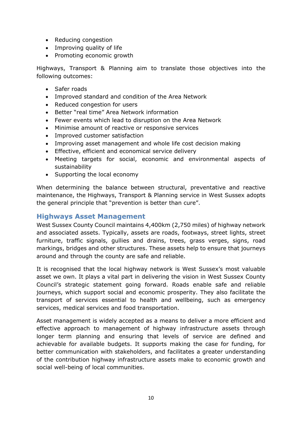- Reducing congestion
- Improving quality of life
- Promoting economic growth

Highways, Transport & Planning aim to translate those objectives into the following outcomes:

- Safer roads
- Improved standard and condition of the Area Network
- Reduced congestion for users
- Better "real time" Area Network information
- Fewer events which lead to disruption on the Area Network
- Minimise amount of reactive or responsive services
- Improved customer satisfaction
- Improving asset management and whole life cost decision making
- **Effective, efficient and economical service delivery**
- Meeting targets for social, economic and environmental aspects of sustainability
- Supporting the local economy

When determining the balance between structural, preventative and reactive maintenance, the Highways, Transport & Planning service in West Sussex adopts the general principle that "prevention is better than cure".

# <span id="page-10-0"></span>**Highways Asset Management**

West Sussex County Council maintains 4,400km (2,750 miles) of highway network and associated assets. Typically, assets are roads, footways, street lights, street furniture, traffic signals, gullies and drains, trees, grass verges, signs, road markings, bridges and other structures. These assets help to ensure that journeys around and through the county are safe and reliable.

It is recognised that the local highway network is West Sussex's most valuable asset we own. It plays a vital part in delivering the vision in West Sussex County Council's strategic statement going forward. Roads enable safe and reliable journeys, which support social and economic prosperity. They also facilitate the transport of services essential to health and wellbeing, such as emergency services, medical services and food transportation.

Asset management is widely accepted as a means to deliver a more efficient and effective approach to management of highway infrastructure assets through longer term planning and ensuring that levels of service are defined and achievable for available budgets. It supports making the case for funding, for better communication with stakeholders, and facilitates a greater understanding of the contribution highway infrastructure assets make to economic growth and social well-being of local communities.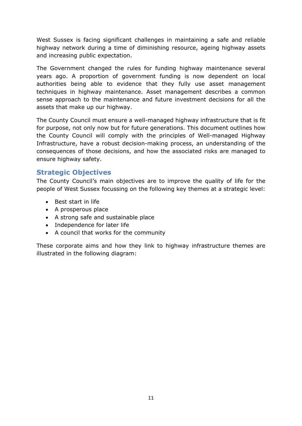West Sussex is facing significant challenges in maintaining a safe and reliable highway network during a time of diminishing resource, ageing highway assets and increasing public expectation.

The Government changed the rules for funding highway maintenance several years ago. A proportion of government funding is now dependent on local authorities being able to evidence that they fully use asset management techniques in highway maintenance. Asset management describes a common sense approach to the maintenance and future investment decisions for all the assets that make up our highway.

The County Council must ensure a well-managed highway infrastructure that is fit for purpose, not only now but for future generations. This document outlines how the County Council will comply with the principles of Well-managed Highway Infrastructure, have a robust decision-making process, an understanding of the consequences of those decisions, and how the associated risks are managed to ensure highway safety.

# <span id="page-11-0"></span>**Strategic Objectives**

The County Council's main objectives are to improve the quality of life for the people of West Sussex focussing on the following key themes at a strategic level:

- Best start in life
- A prosperous place
- A strong safe and sustainable place
- Independence for later life
- A council that works for the community

These corporate aims and how they link to highway infrastructure themes are illustrated in the following diagram: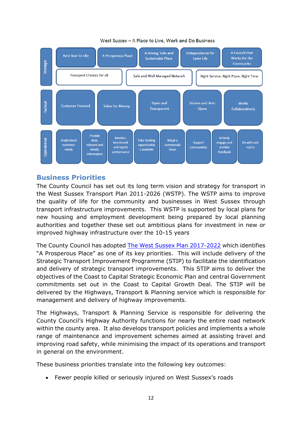

#### West Sussex - A Place to Live, Work and Do Business

# <span id="page-12-0"></span>**Business Priorities**

The County Council has set out its long term vision and strategy for transport in the West Sussex Transport Plan [2011-2026](https://www.westsussex.gov.uk/media/3042/west_sussex_transport_plan_2011-2026_low_res.pdf) (WSTP). The WSTP aims to improve the quality of life for the community and businesses in West Sussex through transport infrastructure improvements. This WSTP is supported by local plans for new housing and employment development being prepared by local planning authorities and together these set out ambitious plans for investment in new or improved highway infrastructure over the 10-15 years

The County Council has adopted The West Sussex Plan [2017-2022](https://www.westsussex.gov.uk/campaigns/the-west-sussex-plan/) which identifies "A Prosperous Place" as one of its key priorities. This will include delivery of the Strategic Transport Improvement Programme (STIP) to facilitate the identification and delivery of strategic transport improvements. This STIP aims to deliver the objectives of the Coast to Capital Strategic Economic Plan and central Government commitments set out in the Coast to Capital Growth Deal. The STIP will be delivered by the Highways, Transport & Planning service which is responsible for management and delivery of highway improvements.

The Highways, Transport & Planning Service is responsible for delivering the County Council's Highway Authority functions for nearly the entire road network within the county area. It also develops [transport](https://www.westsussex.gov.uk/about-the-council/strategies-plans-and-policies/roads-and-travel-plans-and-policies/road-safety-framework-2016-2026/) policies and implements a whole range of maintenance and improvement schemes aimed at assisting travel and [improving](https://www.westsussex.gov.uk/about-the-council/strategies-plans-and-policies/roads-and-travel-plans-and-policies/road-safety-framework-2016-2026/) road safety, while minimising the impact of its operations and transport in general on the environment.

These business priorities translate into the following key outcomes:

Fewer people killed or seriously injured on West Sussex's roads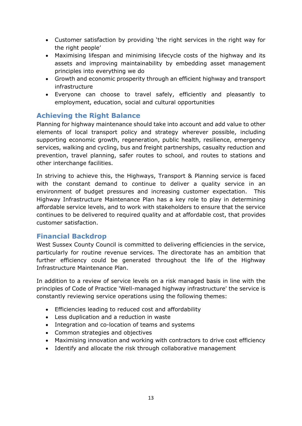- Customer satisfaction by providing 'the right services in the right way for the right people'
- Maximising lifespan and minimising lifecycle costs of the highway and its assets and improving maintainability by embedding asset management principles into everything we do
- Growth and economic prosperity through an efficient highway and transport infrastructure
- Everyone can choose to travel safely, efficiently and pleasantly to employment, education, social and cultural opportunities

# <span id="page-13-0"></span>**Achieving the Right Balance**

Planning for highway maintenance should take into account and add value to other elements of local transport policy and strategy wherever possible, including supporting economic growth, regeneration, public health, resilience, emergency services, walking and cycling, bus and freight partnerships, casualty reduction and prevention, travel planning, safer routes to school, and routes to stations and other interchange facilities.

In striving to achieve this, the Highways, Transport & Planning service is faced with the constant demand to continue to deliver a quality service in an environment of budget pressures and increasing customer expectation. This Highway Infrastructure Maintenance Plan has a key role to play in determining affordable service levels, and to work with stakeholders to ensure that the service continues to be delivered to required quality and at affordable cost, that provides customer satisfaction.

# <span id="page-13-1"></span>**Financial Backdrop**

West Sussex County Council is committed to delivering efficiencies in the service, particularly for routine revenue services. The directorate has an ambition that further efficiency could be generated throughout the life of the Highway Infrastructure Maintenance Plan.

In addition to a review of service levels on a risk managed basis in line with the principles of Code of Practice 'Well-managed highway infrastructure' the service is constantly reviewing service operations using the following themes:

- Efficiencies leading to reduced cost and affordability
- Less duplication and a reduction in waste
- Integration and co-location of teams and systems
- Common strategies and objectives
- Maximising innovation and working with contractors to drive cost efficiency
- Identify and allocate the risk through collaborative management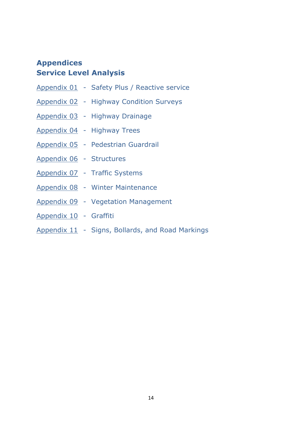# <span id="page-14-0"></span>**Appendices Service Level Analysis**

- [Appendix](#page-15-0) 01 Safety Plus / Reactive service
- [Appendix](#page-17-0) 02 Highway Condition Surveys
- [Appendix](#page-20-0) 03 Highway Drainage
- [Appendix](#page-22-0) 04 Highway Trees
- [Appendix](#page-25-0) 05 Pedestrian Guardrail
- [Appendix](#page-27-0) 06 Structures
- [Appendix](#page-30-0) 07 Traffic Systems
- [Appendix](#page-34-0) 08 Winter Maintenance
- [Appendix](#page-36-0) 09 Vegetation Management
- [Appendix](#page-39-0) 10 Graffiti
- [Appendix](#page-40-1) 11 Signs, Bollards, and Road Markings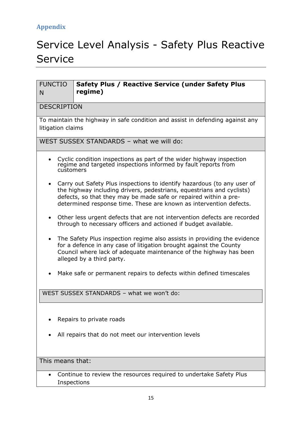# <span id="page-15-0"></span>Service Level Analysis - Safety Plus Reactive Service

| <b>FUNCTIO</b><br>Safety Plus / Reactive Service (under Safety Plus<br>regime)<br>N                                                                                                                                                                                                        |  |  |  |  |  |  |  |  |  |  |  |
|--------------------------------------------------------------------------------------------------------------------------------------------------------------------------------------------------------------------------------------------------------------------------------------------|--|--|--|--|--|--|--|--|--|--|--|
| <b>DESCRIPTION</b>                                                                                                                                                                                                                                                                         |  |  |  |  |  |  |  |  |  |  |  |
| To maintain the highway in safe condition and assist in defending against any<br>litigation claims                                                                                                                                                                                         |  |  |  |  |  |  |  |  |  |  |  |
| WEST SUSSEX STANDARDS - what we will do:                                                                                                                                                                                                                                                   |  |  |  |  |  |  |  |  |  |  |  |
| Cyclic condition inspections as part of the wider highway inspection<br>regime and targeted inspections informed by fault reports from<br>customers                                                                                                                                        |  |  |  |  |  |  |  |  |  |  |  |
| Carry out Safety Plus inspections to identify hazardous (to any user of<br>the highway including drivers, pedestrians, equestrians and cyclists)<br>defects, so that they may be made safe or repaired within a pre-<br>determined response time. These are known as intervention defects. |  |  |  |  |  |  |  |  |  |  |  |
| Other less urgent defects that are not intervention defects are recorded<br>$\bullet$<br>through to necessary officers and actioned if budget available.                                                                                                                                   |  |  |  |  |  |  |  |  |  |  |  |
| The Safety Plus inspection regime also assists in providing the evidence<br>for a defence in any case of litigation brought against the County<br>Council where lack of adequate maintenance of the highway has been<br>alleged by a third party.                                          |  |  |  |  |  |  |  |  |  |  |  |
| Make safe or permanent repairs to defects within defined timescales                                                                                                                                                                                                                        |  |  |  |  |  |  |  |  |  |  |  |
| WEST SUSSEX STANDARDS - what we won't do:                                                                                                                                                                                                                                                  |  |  |  |  |  |  |  |  |  |  |  |
| Repairs to private roads                                                                                                                                                                                                                                                                   |  |  |  |  |  |  |  |  |  |  |  |
| All repairs that do not meet our intervention levels                                                                                                                                                                                                                                       |  |  |  |  |  |  |  |  |  |  |  |
| This means that:                                                                                                                                                                                                                                                                           |  |  |  |  |  |  |  |  |  |  |  |
| Continue to review the resources required to undertake Safety Plus<br>Inspections                                                                                                                                                                                                          |  |  |  |  |  |  |  |  |  |  |  |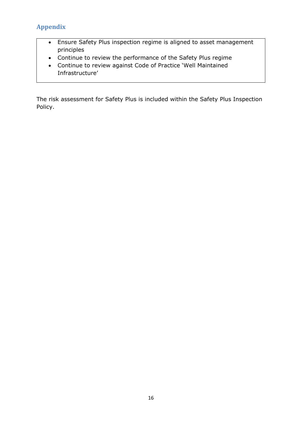- Ensure Safety Plus inspection regime is aligned to asset management principles
- Continue to review the performance of the Safety Plus regime
- Continue to review against Code of Practice 'Well Maintained Infrastructure'

The risk assessment for Safety Plus is included within the Safety Plus Inspection Policy.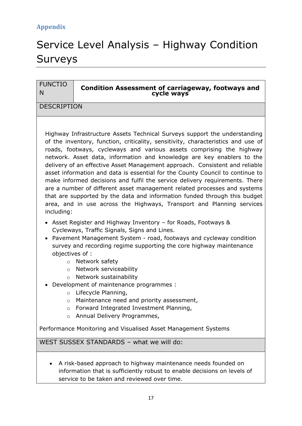# <span id="page-17-0"></span>Service Level Analysis – Highway Condition Surveys

| <b>FUNCTIO</b><br>N                                                                            | <b>Condition Assessment of carriageway, footways and</b><br>cycle ways                                                                                                                                                                                                                                                                                                                                                                                                                                                                                                                                                                                                                                                                                                                           |
|------------------------------------------------------------------------------------------------|--------------------------------------------------------------------------------------------------------------------------------------------------------------------------------------------------------------------------------------------------------------------------------------------------------------------------------------------------------------------------------------------------------------------------------------------------------------------------------------------------------------------------------------------------------------------------------------------------------------------------------------------------------------------------------------------------------------------------------------------------------------------------------------------------|
| <b>DESCRIPTION</b>                                                                             |                                                                                                                                                                                                                                                                                                                                                                                                                                                                                                                                                                                                                                                                                                                                                                                                  |
|                                                                                                |                                                                                                                                                                                                                                                                                                                                                                                                                                                                                                                                                                                                                                                                                                                                                                                                  |
| including:                                                                                     | Highway Infrastructure Assets Technical Surveys support the understanding<br>of the inventory, function, criticality, sensitivity, characteristics and use of<br>roads, footways, cycleways and various assets comprising the highway<br>network. Asset data, information and knowledge are key enablers to the<br>delivery of an effective Asset Management approach. Consistent and reliable<br>asset information and data is essential for the County Council to continue to<br>make informed decisions and fulfil the service delivery requirements. There<br>are a number of different asset management related processes and systems<br>that are supported by the data and information funded through this budget<br>area, and in use across the Highways, Transport and Planning services |
| objectives of :<br>$\Omega$<br>$\Omega$<br>$\circ$<br>$\circ$<br>$\circ$<br>$\circ$<br>$\circ$ | Asset Register and Highway Inventory - for Roads, Footways &<br>Cycleways, Traffic Signals, Signs and Lines.<br>Pavement Management System - road, footways and cycleway condition<br>survey and recording regime supporting the core highway maintenance<br>Network safety<br>Network serviceability<br>Network sustainability<br>Development of maintenance programmes :<br>Lifecycle Planning,<br>Maintenance need and priority assessment,<br>Forward Integrated Investment Planning,<br>Annual Delivery Programmes,                                                                                                                                                                                                                                                                         |
|                                                                                                | Performance Monitoring and Visualised Asset Management Systems<br>WEST SUSSEX STANDARDS - what we will do:                                                                                                                                                                                                                                                                                                                                                                                                                                                                                                                                                                                                                                                                                       |
|                                                                                                |                                                                                                                                                                                                                                                                                                                                                                                                                                                                                                                                                                                                                                                                                                                                                                                                  |
|                                                                                                | A risk-based approach to highway maintenance needs founded on                                                                                                                                                                                                                                                                                                                                                                                                                                                                                                                                                                                                                                                                                                                                    |

information that is sufficiently robust to enable decisions on levels of service to be taken and reviewed over time.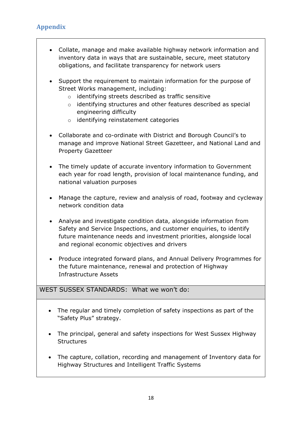- Collate, manage and make available highway network information and inventory data in ways that are sustainable, secure, meet statutory obligations, and facilitate transparency for network users
- Support the requirement to maintain information for the purpose of Street Works management, including:
	- o identifying streets described as traffic sensitive
	- o identifying structures and other features described as special engineering difficulty
	- o identifying reinstatement categories
- Collaborate and co-ordinate with District and Borough Council's to manage and improve National Street Gazetteer, and National Land and Property Gazetteer
- The timely update of accurate inventory information to Government each year for road length, provision of local maintenance funding, and national valuation purposes
- Manage the capture, review and analysis of road, footway and cycleway network condition data
- Analyse and investigate condition data, alongside information from Safety and Service Inspections, and customer enquiries, to identify future maintenance needs and investment priorities, alongside local and regional economic objectives and drivers
- Produce integrated forward plans, and Annual Delivery Programmes for the future maintenance, renewal and protection of Highway Infrastructure Assets

# WEST SUSSEX STANDARDS: What we won't do:

- The regular and timely completion of safety inspections as part of the "Safety Plus" strategy.
- The principal, general and safety inspections for West Sussex Highway **Structures**
- The capture, collation, recording and management of Inventory data for Highway Structures and Intelligent Traffic Systems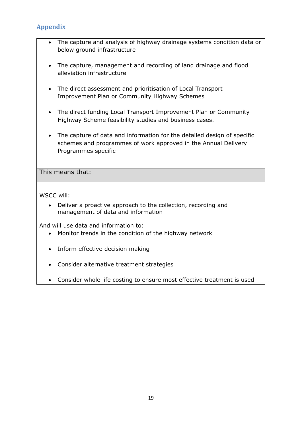- The capture and analysis of highway drainage systems condition data or below ground infrastructure
- The capture, management and recording of land drainage and flood alleviation infrastructure
- The direct assessment and prioritisation of Local Transport Improvement Plan or Community Highway Schemes
- The direct funding Local Transport Improvement Plan or Community Highway Scheme feasibility studies and business cases.
- The capture of data and information for the detailed design of specific schemes and programmes of work approved in the Annual Delivery Programmes specific

This means that:

WSCC will:

 Deliver a proactive approach to the collection, recording and management of data and information

And will use data and information to:

- Monitor trends in the condition of the highway network
- Inform effective decision making
- Consider alternative treatment strategies
- Consider whole life costing to ensure most effective treatment is used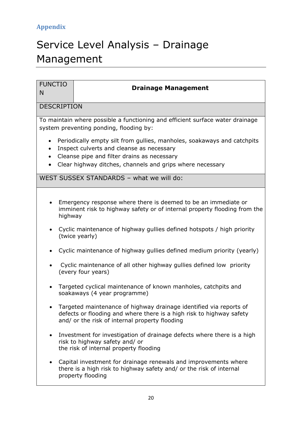# <span id="page-20-0"></span>Service Level Analysis – Drainage Management

| <b>FUNCTIO</b><br>N                                                                                                                            | <b>Drainage Management</b>                                                                                                                                                                   |  |  |  |  |  |  |  |  |  |  |
|------------------------------------------------------------------------------------------------------------------------------------------------|----------------------------------------------------------------------------------------------------------------------------------------------------------------------------------------------|--|--|--|--|--|--|--|--|--|--|
| <b>DESCRIPTION</b>                                                                                                                             |                                                                                                                                                                                              |  |  |  |  |  |  |  |  |  |  |
|                                                                                                                                                | To maintain where possible a functioning and efficient surface water drainage<br>system preventing ponding, flooding by:                                                                     |  |  |  |  |  |  |  |  |  |  |
| Periodically empty silt from gullies, manholes, soakaways and catchpits<br>$\bullet$<br>Inspect culverts and cleanse as necessary<br>$\bullet$ |                                                                                                                                                                                              |  |  |  |  |  |  |  |  |  |  |
| $\bullet$                                                                                                                                      | Cleanse pipe and filter drains as necessary<br>Clear highway ditches, channels and grips where necessary                                                                                     |  |  |  |  |  |  |  |  |  |  |
|                                                                                                                                                | WEST SUSSEX STANDARDS - what we will do:                                                                                                                                                     |  |  |  |  |  |  |  |  |  |  |
| highway                                                                                                                                        | Emergency response where there is deemed to be an immediate or<br>imminent risk to highway safety or of internal property flooding from the                                                  |  |  |  |  |  |  |  |  |  |  |
|                                                                                                                                                | Cyclic maintenance of highway gullies defined hotspots / high priority<br>(twice yearly)                                                                                                     |  |  |  |  |  |  |  |  |  |  |
|                                                                                                                                                | Cyclic maintenance of highway gullies defined medium priority (yearly)                                                                                                                       |  |  |  |  |  |  |  |  |  |  |
|                                                                                                                                                | Cyclic maintenance of all other highway gullies defined low priority<br>(every four years)                                                                                                   |  |  |  |  |  |  |  |  |  |  |
|                                                                                                                                                | Targeted cyclical maintenance of known manholes, catchpits and<br>soakaways (4 year programme)                                                                                               |  |  |  |  |  |  |  |  |  |  |
|                                                                                                                                                | Targeted maintenance of highway drainage identified via reports of<br>defects or flooding and where there is a high risk to highway safety<br>and/ or the risk of internal property flooding |  |  |  |  |  |  |  |  |  |  |
|                                                                                                                                                | Investment for investigation of drainage defects where there is a high<br>risk to highway safety and/ or<br>the risk of internal property flooding                                           |  |  |  |  |  |  |  |  |  |  |
|                                                                                                                                                | Capital investment for drainage renewals and improvements where<br>there is a high risk to highway safety and/ or the risk of internal<br>property flooding                                  |  |  |  |  |  |  |  |  |  |  |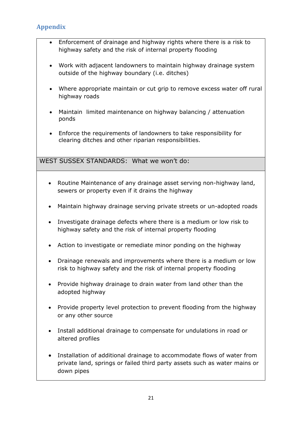- Enforcement of drainage and highway rights where there is a risk to highway safety and the risk of internal property flooding
- Work with adjacent landowners to maintain highway drainage system outside of the highway boundary (i.e. ditches)
- Where appropriate maintain or cut grip to remove excess water off rural highway roads
- Maintain limited maintenance on highway balancing / attenuation ponds
- Enforce the requirements of landowners to take responsibility for clearing ditches and other riparian responsibilities.

# WEST SUSSEX STANDARDS: What we won't do:

- Routine Maintenance of any drainage asset serving non-highway land, sewers or property even if it drains the highway
- Maintain highway drainage serving private streets or un-adopted roads
- Investigate drainage defects where there is a medium or low risk to highway safety and the risk of internal property flooding
- Action to investigate or remediate minor ponding on the highway
- Drainage renewals and improvements where there is a medium or low risk to highway safety and the risk of internal property flooding
- Provide highway drainage to drain water from land other than the adopted highway
- Provide property level protection to prevent flooding from the highway or any other source
- Install additional drainage to compensate for undulations in road or altered profiles
- Installation of additional drainage to accommodate flows of water from private land, springs or failed third party assets such as water mains or down pipes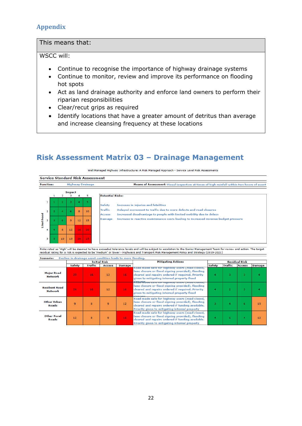### This means that:

### WSCC will:

- Continue to recognise the importance of highway drainage systems
- Continue to monitor, review and improve its performance on flooding hot spots
- Act as land drainage authority and enforce land owners to perform their riparian responsibilities
- Clear/recut grips as required

 $\overline{p}$ 

 Identify locations that have a greater amount of detritus than average and increase cleansing frequency at these locations

# **Risk Assessment Matrix 03 – Drainage Management**

Well Managed Highway Infrastructure: A Risk Managed Approach - Service Level Risk Assessments

**Service Standard Risk Assessment Function: Highway Drainage** Means of Assessment: Visual inspection at times of high rainfall within two hours of event



| <b>Potential Risks:</b> |                                                                                     |  |  |  |  |  |  |  |  |  |  |
|-------------------------|-------------------------------------------------------------------------------------|--|--|--|--|--|--|--|--|--|--|
| <b>Safety</b>           | Increase in injuries and fatalities                                                 |  |  |  |  |  |  |  |  |  |  |
| Traffic                 | Delayed movement to traffic due to more defects and road closures                   |  |  |  |  |  |  |  |  |  |  |
| <b>Access</b>           | Increased disadvantage to people with limited mobility due to delays                |  |  |  |  |  |  |  |  |  |  |
| <b>Damage</b>           | Increase in reactive maintenance costs leading to increased revenue budget pressure |  |  |  |  |  |  |  |  |  |  |

Risks rated as 'High' will be deemed to have exceeded tolerance levels and will be subject to escalation to the Senior Management Team for review and action. The target residual rating for a risk is expected to be 'medium' or lower - Highways and Transport Risk Management Policy and Strategy (2019-2021)

<span id="page-22-0"></span>

|                                         |                 |         | <b>Initial Risk</b> |        | <b>Mitigating Actions</b>                                                                                                                                                                                                                                 |        |         | <b>Residual Risk</b> |               |
|-----------------------------------------|-----------------|---------|---------------------|--------|-----------------------------------------------------------------------------------------------------------------------------------------------------------------------------------------------------------------------------------------------------------|--------|---------|----------------------|---------------|
|                                         | Safety          | Traffic | <b>Access</b>       | Damage |                                                                                                                                                                                                                                                           | Safety | Traffic | <b>Access</b>        | <b>Damage</b> |
| <b>Major Road</b><br><b>Network</b>     | 25              | 16      | 12                  | 16     | Koad made safe for highway users (road closed,<br>lane closure or flood signing provided), flooding<br>cleared and repairs ordered if required. Priority<br>given to mitigating internal property flood<br>Road flage sare for mynway users (road closed, | 4      | я       | 3                    |               |
| <b>Resilient Road</b><br><b>Network</b> | 20 <sub>1</sub> | 16      | 12                  | 16     | lane closure or flood signing provided), flooding<br>cleared and repairs ordered if required. Priority<br>given to mitigating internal property flood<br>بسدسك                                                                                            | 4      |         | R                    |               |
| <b>Other Urban</b><br>Roads             | ٩               | 8       | 9                   | 12     | Road made safe for highway users (road closed,<br>lane closure or flood signing provided), flooding<br>cleared and repairs ordered if funding available.<br>Priority given to mitigating internal property                                                |        | Δ       | 6                    | 15            |
| <b>Other Rural</b><br>Roads             | 12              | 8       | 9                   | 16     | Road made safe for highway users (road closed,<br>lane closure or flood signing provided), flooding<br>cleared and repairs ordered if funding available.<br>Priority given to mitigating internal property                                                |        | 6       | 4                    | 12            |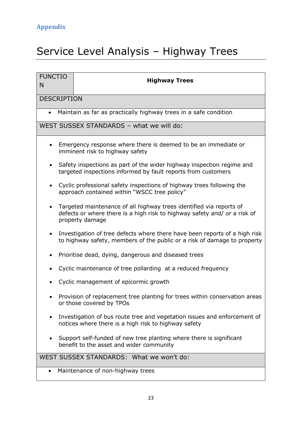# <span id="page-23-0"></span>Service Level Analysis – Highway Trees

| <b>FUNCTIO</b><br>N                                                                                                                    | <b>Highway Trees</b>                                                                                                                                                |  |  |  |  |  |  |  |  |  |  |  |
|----------------------------------------------------------------------------------------------------------------------------------------|---------------------------------------------------------------------------------------------------------------------------------------------------------------------|--|--|--|--|--|--|--|--|--|--|--|
|                                                                                                                                        | <b>DESCRIPTION</b>                                                                                                                                                  |  |  |  |  |  |  |  |  |  |  |  |
| Maintain as far as practically highway trees in a safe condition                                                                       |                                                                                                                                                                     |  |  |  |  |  |  |  |  |  |  |  |
| WEST SUSSEX STANDARDS - what we will do:                                                                                               |                                                                                                                                                                     |  |  |  |  |  |  |  |  |  |  |  |
|                                                                                                                                        | Emergency response where there is deemed to be an immediate or<br>imminent risk to highway safety                                                                   |  |  |  |  |  |  |  |  |  |  |  |
| Safety inspections as part of the wider highway inspection regime and<br>targeted inspections informed by fault reports from customers |                                                                                                                                                                     |  |  |  |  |  |  |  |  |  |  |  |
|                                                                                                                                        | Cyclic professional safety inspections of highway trees following the<br>approach contained within "WSCC tree policy"                                               |  |  |  |  |  |  |  |  |  |  |  |
|                                                                                                                                        | Targeted maintenance of all highway trees identified via reports of<br>defects or where there is a high risk to highway safety and/ or a risk of<br>property damage |  |  |  |  |  |  |  |  |  |  |  |
|                                                                                                                                        | Investigation of tree defects where there have been reports of a high risk<br>to highway safety, members of the public or a risk of damage to property              |  |  |  |  |  |  |  |  |  |  |  |
|                                                                                                                                        | Prioritise dead, dying, dangerous and diseased trees                                                                                                                |  |  |  |  |  |  |  |  |  |  |  |
|                                                                                                                                        | Cyclic maintenance of tree pollarding at a reduced frequency                                                                                                        |  |  |  |  |  |  |  |  |  |  |  |
|                                                                                                                                        | Cyclic management of epicormic growth                                                                                                                               |  |  |  |  |  |  |  |  |  |  |  |
|                                                                                                                                        | Provision of replacement tree planting for trees within conservation areas<br>or those covered by TPOs                                                              |  |  |  |  |  |  |  |  |  |  |  |
|                                                                                                                                        | Investigation of bus route tree and vegetation issues and enforcement of<br>notices where there is a high risk to highway safety                                    |  |  |  |  |  |  |  |  |  |  |  |
|                                                                                                                                        | Support self-funded of new tree planting where there is significant<br>benefit to the asset and wider community                                                     |  |  |  |  |  |  |  |  |  |  |  |
|                                                                                                                                        | WEST SUSSEX STANDARDS: What we won't do:                                                                                                                            |  |  |  |  |  |  |  |  |  |  |  |
|                                                                                                                                        | Maintenance of non-highway trees                                                                                                                                    |  |  |  |  |  |  |  |  |  |  |  |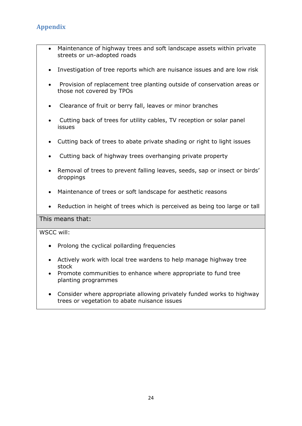- Maintenance of highway trees and soft landscape assets within private streets or un-adopted roads
- Investigation of tree reports which are nuisance issues and are low risk
- Provision of replacement tree planting outside of conservation areas or those not covered by TPOs
- Clearance of fruit or berry fall, leaves or minor branches
- Cutting back of trees for utility cables, TV reception or solar panel issues
- Cutting back of trees to abate private shading or right to light issues
- Cutting back of highway trees overhanging private property
- Removal of trees to prevent falling leaves, seeds, sap or insect or birds' droppings
- Maintenance of trees or soft landscape for aesthetic reasons
- Reduction in height of trees which is perceived as being too large or tall

### This means that:

WSCC will:

- Prolong the cyclical pollarding frequencies
- Actively work with local tree wardens to help manage highway tree stock
- Promote communities to enhance where appropriate to fund tree planting programmes
- Consider where appropriate allowing privately funded works to highway trees or vegetation to abate nuisance issues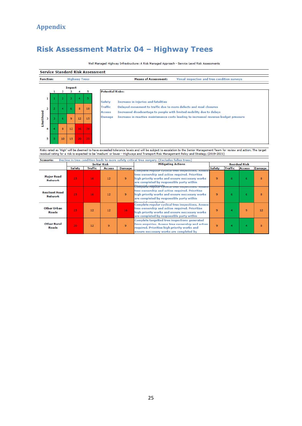# **Risk Assessment Matrix 04 – Highway Trees**

Well Managed Highway Infrastructure: A Risk Managed Approach - Service Level Risk Assessments

| <b>Function:</b><br><b>Highway Trees</b> |                    |                |             |                 | <b>Means of Assessment:</b><br>Visual inspection and tree condition surveys |                                                                                                                                                                              |
|------------------------------------------|--------------------|----------------|-------------|-----------------|-----------------------------------------------------------------------------|------------------------------------------------------------------------------------------------------------------------------------------------------------------------------|
|                                          |                    | 2              | Impact<br>з | 4               | 5.                                                                          | <b>Potential Risks:</b>                                                                                                                                                      |
|                                          |                    | $\overline{2}$ | з           | 4               | 5                                                                           | Increase in injuries and fatalities<br><b>Safety</b>                                                                                                                         |
|                                          |                    | 4              | 6           | 8               | 10                                                                          | <b>Traffic</b><br>Delayed movement to traffic due to more defects and road closures<br>Increased disadvantage to people with limited mobility due to delays<br><b>Access</b> |
| з                                        | 9<br>12<br>6<br>15 |                |             |                 |                                                                             | Increase in reactive maintenance costs leading to increased revenue budget pressure<br><b>Damage</b>                                                                         |
| 4                                        |                    | 8              | 12          | 16              | -20                                                                         |                                                                                                                                                                              |
| 5                                        | 5                  | 10             | 15          | 20 <sub>1</sub> | -25                                                                         |                                                                                                                                                                              |

Risks rated as 'High' will be deemed to have exceeded tolerance levels and will be subject to escalation to the Senior Management Team for review and action. The target<br>residual rating for a risk is expected to be 'medium'

<span id="page-25-0"></span>

|                                  |        |         | <b>Initial Risk</b> |        | <b>Mitigating Actions</b>                                                                                                                                                                                                                                          |        |         | <b>Residual Risk</b> |        |
|----------------------------------|--------|---------|---------------------|--------|--------------------------------------------------------------------------------------------------------------------------------------------------------------------------------------------------------------------------------------------------------------------|--------|---------|----------------------|--------|
|                                  | Safety | Traffic | <b>Access</b>       | Damage |                                                                                                                                                                                                                                                                    | Safety | Traffic | <b>Access</b>        | Damage |
| <b>Major Road</b><br>Network     | 25     | 16      | 12                  | 9      | Complete requiar cyclical tree inspections. Assess<br>tree ownership and action required. Prioritise<br>high priority works and ensure neccesary works<br>are completed by responsible party within<br><b>Connoial englished Cyclical tree inspections. Assess</b> | 9      | 6       | 6.                   | 8      |
| <b>Resilient Road</b><br>Network | 25     | 16      | 12                  | 9      | tree ownership and action required. Prioritise<br>high priority works and ensure neccesary works<br>are completed by responsible party within<br>financial conclusions                                                                                             | 9      | 6       | 6                    | 8      |
| Other Urban<br>Roads             | 25     | 12      | 12                  | 16     | <b>Complete regular cyclical tree inspections. Assess</b><br>tree ownership and action required. Prioritise<br>high priority works and ensure neccesary works<br>are completed by responsible party within                                                         | 9      | 4       | 9                    | 12     |
| <b>Other Rural</b><br>Roads      | 20     | 12      | 9                   | 9      | Complete targetted tree inspections generated<br>from enquiries. Assess tree ownership and action<br>required. Prioritise high priority works and<br>ensure neccesary works are completed by                                                                       | 9      | 4       |                      | 8      |

25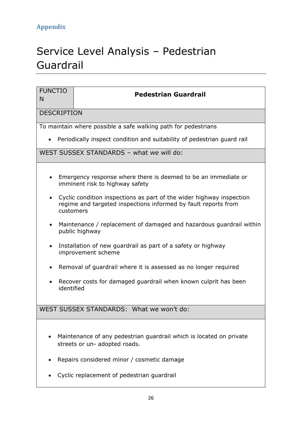# <span id="page-26-0"></span>Service Level Analysis – Pedestrian Guardrail

| <b>FUNCTIO</b><br>N     | <b>Pedestrian Guardrail</b>                                                                                                                         |  |  |  |  |  |  |  |  |  |  |
|-------------------------|-----------------------------------------------------------------------------------------------------------------------------------------------------|--|--|--|--|--|--|--|--|--|--|
|                         |                                                                                                                                                     |  |  |  |  |  |  |  |  |  |  |
| <b>DESCRIPTION</b>      |                                                                                                                                                     |  |  |  |  |  |  |  |  |  |  |
|                         | To maintain where possible a safe walking path for pedestrians                                                                                      |  |  |  |  |  |  |  |  |  |  |
|                         | Periodically inspect condition and suitability of pedestrian guard rail                                                                             |  |  |  |  |  |  |  |  |  |  |
|                         | WEST SUSSEX STANDARDS - what we will do:                                                                                                            |  |  |  |  |  |  |  |  |  |  |
|                         |                                                                                                                                                     |  |  |  |  |  |  |  |  |  |  |
|                         | Emergency response where there is deemed to be an immediate or<br>imminent risk to highway safety                                                   |  |  |  |  |  |  |  |  |  |  |
| $\bullet$               | Cyclic condition inspections as part of the wider highway inspection<br>regime and targeted inspections informed by fault reports from<br>customers |  |  |  |  |  |  |  |  |  |  |
| $\bullet$               | Maintenance / replacement of damaged and hazardous guardrail within<br>public highway                                                               |  |  |  |  |  |  |  |  |  |  |
| $\bullet$               | Installation of new guardrail as part of a safety or highway<br>improvement scheme                                                                  |  |  |  |  |  |  |  |  |  |  |
| $\bullet$               | Removal of guardrail where it is assessed as no longer required                                                                                     |  |  |  |  |  |  |  |  |  |  |
| $\bullet$<br>identified | Recover costs for damaged guardrail when known culprit has been                                                                                     |  |  |  |  |  |  |  |  |  |  |
|                         | WEST SUSSEX STANDARDS: What we won't do:                                                                                                            |  |  |  |  |  |  |  |  |  |  |
|                         |                                                                                                                                                     |  |  |  |  |  |  |  |  |  |  |
|                         | Maintenance of any pedestrian guardrail which is located on private<br>streets or un- adopted roads.                                                |  |  |  |  |  |  |  |  |  |  |
|                         | Repairs considered minor / cosmetic damage                                                                                                          |  |  |  |  |  |  |  |  |  |  |
|                         | Cyclic replacement of pedestrian guardrail                                                                                                          |  |  |  |  |  |  |  |  |  |  |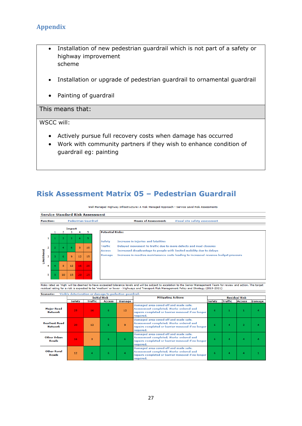- Installation of new pedestrian guardrail which is not part of a safety or highway improvement scheme
- Installation or upgrade of pedestrian guardrail to ornamental guardrail
- Painting of guardrail

### This means that:

### WSCC will:

- Actively pursue full recovery costs when damage has occurred
- Work with community partners if they wish to enhance condition of guardrail eg: painting

# **Risk Assessment Matrix 05 – Pedestrian Guardrail**

Well Managed Highway Infrastructure: A Risk Managed Approach - Service Level Risk Assessments

|                                   |                                     |                             |    |                |    |                                                              | <b>Service Standard Risk Assessment</b>                                                                                                                               |  |
|-----------------------------------|-------------------------------------|-----------------------------|----|----------------|----|--------------------------------------------------------------|-----------------------------------------------------------------------------------------------------------------------------------------------------------------------|--|
| <b>Function:</b>                  |                                     | <b>Pedestrian Guardrail</b> |    |                |    | <b>Means of Assessment:</b><br>Visual site safety assessment |                                                                                                                                                                       |  |
|                                   |                                     |                             |    | Impact         |    |                                                              |                                                                                                                                                                       |  |
|                                   |                                     |                             | 2  | з              | 4  | 5                                                            | <b>Potential Risks:</b>                                                                                                                                               |  |
|                                   | 3.<br>5<br>$\overline{2}$<br>4<br>1 |                             |    |                |    | <b>Increase in injuries and fatalities</b><br><b>Safety</b>  |                                                                                                                                                                       |  |
| $\overline{2}$<br>Likelihood<br>з |                                     |                             | 4  | 6              | 8  | 10                                                           | Traffic<br>Delayed movement to traffic due to more defects and road closures<br>Increased disadvantage to people with limited mobility due to delays<br><b>Access</b> |  |
|                                   |                                     |                             | 6  | $\overline{9}$ | 12 | 15                                                           | Increase in reactive maintenance costs leading to increased revenue budget pressure<br><b>Damage</b>                                                                  |  |
|                                   | 4                                   |                             | 8  | 12             | 16 | 20                                                           |                                                                                                                                                                       |  |
| 5                                 |                                     |                             | 10 | 15             | 20 | 25                                                           |                                                                                                                                                                       |  |

Risks rated as 'High' will be deemed to have exceeded tolerance levels and will be subject to escalation to the Senior Management Team for review and action. The target<br>residual rating for a risk is expected to be 'medium'

<span id="page-27-0"></span>

|                                         |        |         | <b>Initial Risk</b> |        | <b>Mitigating Actions</b>                                                                                                                          |        | <b>Residual Risk</b> |                |               |  |  |
|-----------------------------------------|--------|---------|---------------------|--------|----------------------------------------------------------------------------------------------------------------------------------------------------|--------|----------------------|----------------|---------------|--|--|
|                                         | Safety | Traffic | <b>Access</b>       | Damage |                                                                                                                                                    | Safety | Traffic              | <b>Access</b>  | <b>Damage</b> |  |  |
| <b>Major Road</b><br>Network            | 25     | 16      | 6                   | 12     | Damaged area coned off and made safe.<br>Assessment completed. Works ordered and<br>repairs completed or barrier removed if no longer<br>required. | 6      |                      |                |               |  |  |
| <b>Resilient Road</b><br><b>Network</b> | 20     | 12      | 6                   | 9      | Damaged area coned off and made safe.<br>Assessment completed. Works ordered and<br>repairs completed or barrier removed if no longer<br>required. | £.     | 4                    | $\overline{2}$ |               |  |  |
| <b>Other Urban</b><br>Roads             | 16     | 8       | 6                   | 6      | Damaged area coned off and made safe.<br>Assessment completed. Works ordered and<br>repairs completed or barrier removed if no longer<br>required. | 6      | 4                    | 4              |               |  |  |
| <b>Other Rural</b><br>Roads             | 12     | 4       | 6                   | 4      | Damaged area coned off and made safe.<br>Assessment completed. Works ordered and<br>repairs completed or barrier removed if no longer<br>required. | 6      | 4                    | 4              |               |  |  |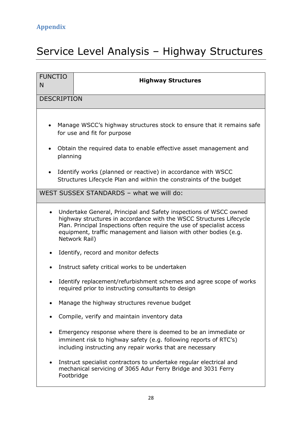# <span id="page-28-0"></span>Service Level Analysis – Highway Structures

| <b>FUNCTIO</b><br>N                                                                                                                | <b>Highway Structures</b>                                                                                                                                                                                                                                                                                |  |  |  |  |  |  |
|------------------------------------------------------------------------------------------------------------------------------------|----------------------------------------------------------------------------------------------------------------------------------------------------------------------------------------------------------------------------------------------------------------------------------------------------------|--|--|--|--|--|--|
| <b>DESCRIPTION</b>                                                                                                                 |                                                                                                                                                                                                                                                                                                          |  |  |  |  |  |  |
| $\bullet$                                                                                                                          | Manage WSCC's highway structures stock to ensure that it remains safe<br>for use and fit for purpose                                                                                                                                                                                                     |  |  |  |  |  |  |
| planning                                                                                                                           | Obtain the required data to enable effective asset management and                                                                                                                                                                                                                                        |  |  |  |  |  |  |
| Identify works (planned or reactive) in accordance with WSCC<br>Structures Lifecycle Plan and within the constraints of the budget |                                                                                                                                                                                                                                                                                                          |  |  |  |  |  |  |
|                                                                                                                                    | WEST SUSSEX STANDARDS - what we will do:                                                                                                                                                                                                                                                                 |  |  |  |  |  |  |
|                                                                                                                                    | Undertake General, Principal and Safety inspections of WSCC owned<br>highway structures in accordance with the WSCC Structures Lifecycle<br>Plan. Principal Inspections often require the use of specialist access<br>equipment, traffic management and liaison with other bodies (e.g.<br>Network Rail) |  |  |  |  |  |  |
|                                                                                                                                    | Identify, record and monitor defects                                                                                                                                                                                                                                                                     |  |  |  |  |  |  |
|                                                                                                                                    | Instruct safety critical works to be undertaken                                                                                                                                                                                                                                                          |  |  |  |  |  |  |
| $\bullet$                                                                                                                          | Identify replacement/refurbishment schemes and agree scope of works<br>required prior to instructing consultants to design                                                                                                                                                                               |  |  |  |  |  |  |
|                                                                                                                                    | Manage the highway structures revenue budget                                                                                                                                                                                                                                                             |  |  |  |  |  |  |
|                                                                                                                                    | Compile, verify and maintain inventory data                                                                                                                                                                                                                                                              |  |  |  |  |  |  |
|                                                                                                                                    | Emergency response where there is deemed to be an immediate or<br>imminent risk to highway safety (e.g. following reports of RTC's)<br>including instructing any repair works that are necessary                                                                                                         |  |  |  |  |  |  |
|                                                                                                                                    | Instruct specialist contractors to undertake regular electrical and<br>mechanical servicing of 3065 Adur Ferry Bridge and 3031 Ferry<br>Footbridge                                                                                                                                                       |  |  |  |  |  |  |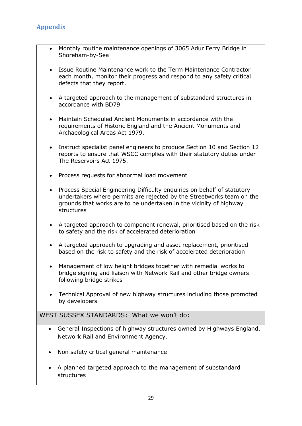- Monthly routine maintenance openings of 3065 Adur Ferry Bridge in Shoreham-by-Sea
- Issue Routine Maintenance work to the Term Maintenance Contractor each month, monitor their progress and respond to any safety critical defects that they report.
- A targeted approach to the management of substandard structures in accordance with BD79
- Maintain Scheduled Ancient Monuments in accordance with the requirements of Historic England and the Ancient Monuments and Archaeological Areas Act 1979.
- Instruct specialist panel engineers to produce Section 10 and Section 12 reports to ensure that WSCC complies with their statutory duties under The Reservoirs Act 1975.
- Process requests for abnormal load movement
- Process Special Engineering Difficulty enguiries on behalf of statutory undertakers where permits are rejected by the Streetworks team on the grounds that works are to be undertaken in the vicinity of highway structures
- A targeted approach to component renewal, prioritised based on the risk to safety and the risk of accelerated deterioration
- A targeted approach to upgrading and asset replacement, prioritised based on the risk to safety and the risk of accelerated deterioration
- Management of low height bridges together with remedial works to bridge signing and liaison with Network Rail and other bridge owners following bridge strikes
- Technical Approval of new highway structures including those promoted by developers

# WEST SUSSEX STANDARDS: What we won't do:

- General Inspections of highway structures owned by Highways England, Network Rail and Environment Agency.
- Non safety critical general maintenance
- A planned targeted approach to the management of substandard structures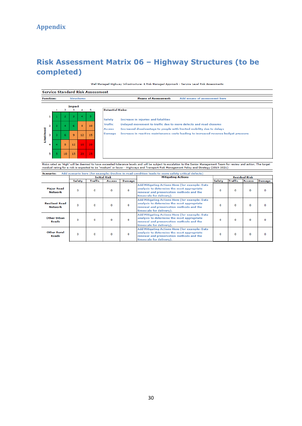# **Risk Assessment Matrix 06 – Highway Structures (to be completed)**

#### Well Managed Highway Infrastructure: A Risk Managed Approach - Service Level Risk Assessments

|                                       |    |                |        |                  |                                                             | <b>Service Standard Risk Assessment</b>                                                              |
|---------------------------------------|----|----------------|--------|------------------|-------------------------------------------------------------|------------------------------------------------------------------------------------------------------|
| <b>Function:</b><br><b>Structures</b> |    |                |        |                  | <b>Means of Assessment:</b><br>Add means of assessment here |                                                                                                      |
|                                       |    |                | Impact |                  |                                                             |                                                                                                      |
|                                       |    |                |        | 4                | 5                                                           | <b>Potential Risks:</b>                                                                              |
| $\mathbf{1}$                          |    | $\overline{2}$ | 3.     | $\blacktriangle$ | -5                                                          | <b>Safety</b><br>Increase in injuries and fatalities                                                 |
| $\overline{2}$                        |    | 4              | 6      | 8                | 10                                                          | Delayed movement to traffic due to more defects and road closures<br>Traffic                         |
|                                       |    |                |        |                  |                                                             | Increased disadvantage to people with limited mobility due to delays<br><b>Access</b>                |
| Likelihood<br>з                       |    | 6              | 9      | 12               | 15                                                          | Increase in reactive maintenance costs leading to increased revenue budget pressure<br><b>Damage</b> |
| 4                                     |    | 8              | 12     | 16               | 20                                                          |                                                                                                      |
| 5 <sup>1</sup>                        | 5. | 10             | 15     | 20               | 25                                                          |                                                                                                      |

Risks rated as 'High' will be deemed to have exceeded tolerance levels and will be subject to escalation to the Senior Management Team for review and action. The target<br>residual rating for a risk is expected to be 'medium'

<span id="page-30-0"></span>

| Safety | Traffic | <b>Access</b> | Damage              |                                                                                                                                                                      | <b>Safety</b>                                                                                                                  | Traffic  |   | <b>Damage</b>                         |
|--------|---------|---------------|---------------------|----------------------------------------------------------------------------------------------------------------------------------------------------------------------|--------------------------------------------------------------------------------------------------------------------------------|----------|---|---------------------------------------|
| o      | 0       | 0             | o                   | Add Mitigating Actions Here (for example: Data<br>analysis to determine the most appropriate<br>renewal and preservation methods and the<br>timescale for delivery). | o                                                                                                                              | $\Omega$ | 0 |                                       |
| 0      | 0       | o             | o                   | Add Mitigating Actions Here (for example: Data<br>analysis to determine the most appropriate<br>renewal and preservation methods and the<br>timescale for delivery). | O                                                                                                                              | $\Omega$ | 0 |                                       |
| 0      | o       | 0             | o                   | Add Mitigating Actions Here (for example: Data<br>analysis to determine the most appropriate<br>renewal and preservation methods and the<br>timescale for delivery). | 0                                                                                                                              | $\Omega$ | 0 |                                       |
| O      | O       | O             | o                   | Add Mitigating Actions Here (for example: Data<br>analysis to determine the most appropriate<br>renewal and preservation methods and the<br>timescale for delivery). | O                                                                                                                              | $\Omega$ | O | o                                     |
|        |         |               | <b>Initial Risk</b> |                                                                                                                                                                      | (Add scenario here (for example: Decline in road condition leads to more safety critical defects)<br><b>Mitigating Actions</b> |          |   | <b>Residual Risk</b><br><b>Access</b> |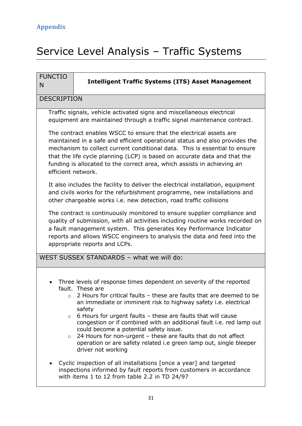# <span id="page-31-0"></span>Service Level Analysis – Traffic Systems

| <b>FUNCTIO</b><br>N | <b>Intelligent Traffic Systems (ITS) Asset Management</b>                                                                                                                                                                                                                                                                                                                                                                                                                                                                                                                                                    |
|---------------------|--------------------------------------------------------------------------------------------------------------------------------------------------------------------------------------------------------------------------------------------------------------------------------------------------------------------------------------------------------------------------------------------------------------------------------------------------------------------------------------------------------------------------------------------------------------------------------------------------------------|
| <b>DESCRIPTION</b>  |                                                                                                                                                                                                                                                                                                                                                                                                                                                                                                                                                                                                              |
|                     | Traffic signals, vehicle activated signs and miscellaneous electrical<br>equipment are maintained through a traffic signal maintenance contract.                                                                                                                                                                                                                                                                                                                                                                                                                                                             |
| efficient network.  | The contract enables WSCC to ensure that the electrical assets are<br>maintained in a safe and efficient operational status and also provides the<br>mechanism to collect current conditional data. This is essential to ensure<br>that the life cycle planning (LCP) is based on accurate data and that the<br>funding is allocated to the correct area, which assists in achieving an                                                                                                                                                                                                                      |
|                     | It also includes the facility to deliver the electrical installation, equipment<br>and civils works for the refurbishment programme, new installations and<br>other chargeable works i.e. new detection, road traffic collisions                                                                                                                                                                                                                                                                                                                                                                             |
|                     | The contract is continuously monitored to ensure supplier compliance and<br>quality of submission, with all activities including routine works recorded on<br>a fault management system. This generates Key Performance Indicator<br>reports and allows WSCC engineers to analysis the data and feed into the<br>appropriate reports and LCPs.                                                                                                                                                                                                                                                               |
|                     | WEST SUSSEX STANDARDS - what we will do:                                                                                                                                                                                                                                                                                                                                                                                                                                                                                                                                                                     |
| $\circ$             | Three levels of response times dependent on severity of the reported<br>fault. These are<br>$\circ$ 2 Hours for critical faults – these are faults that are deemed to be<br>an immediate or imminent risk to highway safety i.e. electrical<br>safety<br>$\circ$ 6 Hours for urgent faults - these are faults that will cause<br>congestion or if combined with an additional fault i.e. red lamp out<br>could become a potential safety issue.<br>24 Hours for non-urgent - these are faults that do not affect<br>operation or are safety related i.e green lamp out, single bleeper<br>driver not working |
|                     | Cyclic inspection of all installations [once a year] and targeted<br>inspections informed by fault reports from customers in accordance<br>with items 1 to 12 from table 2.2 in TD 24/97                                                                                                                                                                                                                                                                                                                                                                                                                     |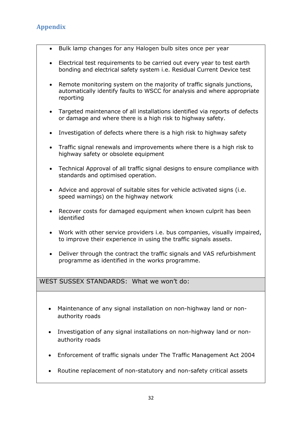- Bulk lamp changes for any Halogen bulb sites once per year
- Electrical test requirements to be carried out every year to test earth bonding and electrical safety system i.e. Residual Current Device test
- Remote monitoring system on the majority of traffic signals junctions, automatically identify faults to WSCC for analysis and where appropriate reporting
- Targeted maintenance of all installations identified via reports of defects or damage and where there is a high risk to highway safety.
- Investigation of defects where there is a high risk to highway safety
- Traffic signal renewals and improvements where there is a high risk to highway safety or obsolete equipment
- Technical Approval of all traffic signal designs to ensure compliance with standards and optimised operation.
- Advice and approval of suitable sites for vehicle activated signs (i.e. speed warnings) on the highway network
- Recover costs for damaged equipment when known culprit has been identified
- Work with other service providers i.e. bus companies, visually impaired, to improve their experience in using the traffic signals assets.
- Deliver through the contract the traffic signals and VAS refurbishment programme as identified in the works programme.

# WEST SUSSEX STANDARDS: What we won't do:

- Maintenance of any signal installation on non-highway land or nonauthority roads
- Investigation of any signal installations on non-highway land or nonauthority roads
- Enforcement of traffic signals under The Traffic Management Act 2004
- Routine replacement of non-statutory and non-safety critical assets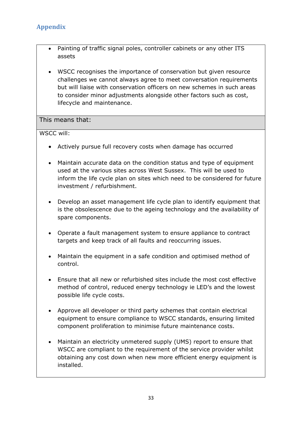- Painting of traffic signal poles, controller cabinets or any other ITS assets
- WSCC recognises the importance of conservation but given resource challenges we cannot always agree to meet conversation requirements but will liaise with conservation officers on new schemes in such areas to consider minor adjustments alongside other factors such as cost, lifecycle and maintenance.

### This means that:

WSCC will:

- Actively pursue full recovery costs when damage has occurred
- Maintain accurate data on the condition status and type of equipment used at the various sites across West Sussex. This will be used to inform the life cycle plan on sites which need to be considered for future investment / refurbishment.
- Develop an asset management life cycle plan to identify equipment that is the obsolescence due to the ageing technology and the availability of spare components.
- Operate a fault management system to ensure appliance to contract targets and keep track of all faults and reoccurring issues.
- Maintain the equipment in a safe condition and optimised method of control.
- Ensure that all new or refurbished sites include the most cost effective method of control, reduced energy technology ie LED's and the lowest possible life cycle costs.
- Approve all developer or third party schemes that contain electrical equipment to ensure compliance to WSCC standards, ensuring limited component proliferation to minimise future maintenance costs.
- Maintain an electricity unmetered supply (UMS) report to ensure that WSCC are compliant to the requirement of the service provider whilst obtaining any cost down when new more efficient energy equipment is installed.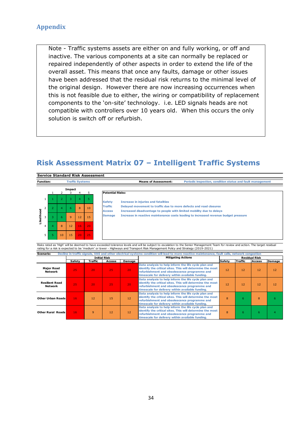Note - Traffic systems assets are either on and fully working, or off and inactive. The various components at a site can normally be replaced or repaired independently of other aspects in order to extend the life of the overall asset. This means that once any faults, damage or other issues have been addressed that the residual risk returns to the minimal level of the original design. However there are now increasing occurrences when this is not feasible due to either, the wiring or compatibility of replacement components to the 'on-site' technology. i.e. LED signals heads are not compatible with controllers over 10 years old. When this occurs the only solution is switch off or refurbish.

# **Risk Assessment Matrix 07 – Intelligent Traffic Systems**

|         |                                            |  |              |                                                                                           |    |     | <b>Service Standard Risk Assessment</b>                                                                                                                                      |
|---------|--------------------------------------------|--|--------------|-------------------------------------------------------------------------------------------|----|-----|------------------------------------------------------------------------------------------------------------------------------------------------------------------------------|
|         | <b>Function:</b><br><b>Traffic Systems</b> |  |              | <b>Means of Assessment:</b><br>Periodic inspection, condition status and fault management |    |     |                                                                                                                                                                              |
|         |                                            |  |              | Impact                                                                                    | 4  |     | <b>Potential Risks:</b>                                                                                                                                                      |
|         |                                            |  |              | З                                                                                         | 4  |     | <b>Safety</b><br><b>Increase in injuries and fatalities</b>                                                                                                                  |
| g       |                                            |  | 4            | 6.                                                                                        | 8  | 10  | Delayed movement to traffic due to more defects and road closures<br><b>Traffic</b><br>Increased disadvantage to people with limited mobility due to delays<br><b>Access</b> |
| Likelih | 3                                          |  | 6            | $\overline{9}$                                                                            | 12 | 15  | Increase in reactive maintenance costs leading to increased revenue budget pressure<br><b>Damage</b>                                                                         |
|         | 4                                          |  | $\mathbf{8}$ | 12                                                                                        | 16 | 20  |                                                                                                                                                                              |
|         | 5                                          |  | 10           | 15                                                                                        | 20 | -25 |                                                                                                                                                                              |

Risks rated as 'High' will be deemed to have exceeded tolerance levels and will be subject to escalation to the Senior Management Team for review and action. The target residual<br>rating for a risk is expected to be 'medium'

<span id="page-34-0"></span>

|                                  |        |                 | <b>Initial Risk</b> |                 | <b>Mitigating Actions</b>                                                                                                                                                                                             |        |                 | <b>Residual Risk</b> |        |
|----------------------------------|--------|-----------------|---------------------|-----------------|-----------------------------------------------------------------------------------------------------------------------------------------------------------------------------------------------------------------------|--------|-----------------|----------------------|--------|
|                                  | Safety | Traffic         | Access              | Damage          |                                                                                                                                                                                                                       | Safety | <b>Traffic</b>  | Access               | Damage |
| <b>Major Road</b><br>Network     | 25     | 20 <sub>1</sub> | 25                  | 20 <sub>1</sub> | Data analysis to help inform the life cycle plan and<br>identify the critical sites. This will determine the most<br>refurbishment and obsolescence programme and<br>timescale for delivery within available funding. | 12     | 12              | 12                   | 12     |
| <b>Resilient Road</b><br>Network | 25     | 20              | 25                  | 20 <sub>1</sub> | Data analysis to help inform the life cycle plan and<br>identify the critical sites. This will determine the most<br>refurbishment and obsolescence programme and<br>timescale for delivery within available funding. | 12     | 12 <sup>1</sup> | 12                   | 12     |
| <b>Other Urban Roads</b>         | 16     | 12              | 15                  | 12              | Data analysis to help inform the life cycle plan and<br>identify the critical sites. This will determine the most<br>refurbishment and obsolescence programme and<br>timescale for delivery within available funding. | 8      | 6               | 8                    | h      |
| <b>Other Rural Roads</b>         | 16     | $\overline{9}$  | 12                  | 12              | Data analysis to help inform the life cycle plan and<br>identify the critical sites. This will determine the most<br>refurbishment and obsolescence programme and<br>timescale for delivery within available funding. | 8      | 6               | 6                    |        |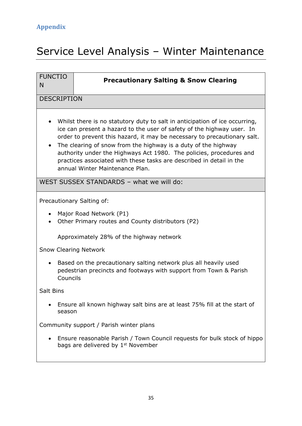# <span id="page-35-0"></span>Service Level Analysis – Winter Maintenance

| <b>FUNCTIO</b>        |                                                                                                                                                                                                                                                                                                                                                                                                                                                                                       |  |  |  |  |  |  |  |  |  |  |
|-----------------------|---------------------------------------------------------------------------------------------------------------------------------------------------------------------------------------------------------------------------------------------------------------------------------------------------------------------------------------------------------------------------------------------------------------------------------------------------------------------------------------|--|--|--|--|--|--|--|--|--|--|
| N                     | <b>Precautionary Salting &amp; Snow Clearing</b>                                                                                                                                                                                                                                                                                                                                                                                                                                      |  |  |  |  |  |  |  |  |  |  |
| <b>DESCRIPTION</b>    |                                                                                                                                                                                                                                                                                                                                                                                                                                                                                       |  |  |  |  |  |  |  |  |  |  |
|                       |                                                                                                                                                                                                                                                                                                                                                                                                                                                                                       |  |  |  |  |  |  |  |  |  |  |
| $\bullet$             | Whilst there is no statutory duty to salt in anticipation of ice occurring,<br>ice can present a hazard to the user of safety of the highway user. In<br>order to prevent this hazard, it may be necessary to precautionary salt.<br>The clearing of snow from the highway is a duty of the highway<br>authority under the Highways Act 1980. The policies, procedures and<br>practices associated with these tasks are described in detail in the<br>annual Winter Maintenance Plan. |  |  |  |  |  |  |  |  |  |  |
|                       | WEST SUSSEX STANDARDS - what we will do:                                                                                                                                                                                                                                                                                                                                                                                                                                              |  |  |  |  |  |  |  |  |  |  |
|                       | Precautionary Salting of:                                                                                                                                                                                                                                                                                                                                                                                                                                                             |  |  |  |  |  |  |  |  |  |  |
| $\bullet$             | Major Road Network (P1)<br>Other Primary routes and County distributors (P2)                                                                                                                                                                                                                                                                                                                                                                                                          |  |  |  |  |  |  |  |  |  |  |
|                       | Approximately 28% of the highway network                                                                                                                                                                                                                                                                                                                                                                                                                                              |  |  |  |  |  |  |  |  |  |  |
|                       | <b>Snow Clearing Network</b>                                                                                                                                                                                                                                                                                                                                                                                                                                                          |  |  |  |  |  |  |  |  |  |  |
| $\bullet$<br>Councils | Based on the precautionary salting network plus all heavily used<br>pedestrian precincts and footways with support from Town & Parish                                                                                                                                                                                                                                                                                                                                                 |  |  |  |  |  |  |  |  |  |  |
| Salt Bins             |                                                                                                                                                                                                                                                                                                                                                                                                                                                                                       |  |  |  |  |  |  |  |  |  |  |
| season                | Ensure all known highway salt bins are at least 75% fill at the start of                                                                                                                                                                                                                                                                                                                                                                                                              |  |  |  |  |  |  |  |  |  |  |
|                       | Community support / Parish winter plans                                                                                                                                                                                                                                                                                                                                                                                                                                               |  |  |  |  |  |  |  |  |  |  |
|                       | Ensure reasonable Parish / Town Council requests for bulk stock of hippo<br>bags are delivered by 1 <sup>st</sup> November                                                                                                                                                                                                                                                                                                                                                            |  |  |  |  |  |  |  |  |  |  |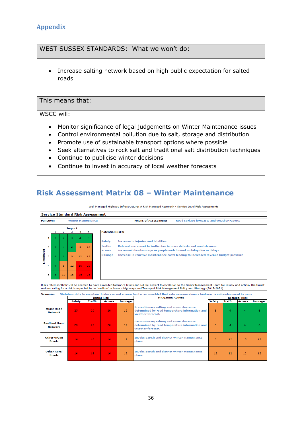# WEST SUSSEX STANDARDS: What we won't do:

 Increase salting network based on high public expectation for salted roads

### This means that:

### WSCC will:

- Monitor significance of legal judgements on Winter Maintenance issues
- Control environmental pollution due to salt, storage and distribution
- Promote use of sustainable transport options where possible
- Seek alternatives to rock salt and traditional salt distribution techniques
- Continue to publicise winter decisions
- Continue to invest in accuracy of local weather forecasts

# **Risk Assessment Matrix 08 – Winter Maintenance**

Well Managed Highway Infrastructure: A Risk Managed Approach - Service Level Risk Assessments

|                  |                |                |               |                     |                           | <b>Service Standard Risk Assessment</b>                                                                                                                               |  |
|------------------|----------------|----------------|---------------|---------------------|---------------------------|-----------------------------------------------------------------------------------------------------------------------------------------------------------------------|--|
| <b>Function:</b> |                |                |               |                     | <b>Winter Maintenance</b> | <b>Means of Assessment:</b><br>Road surface forecasts and weather reports                                                                                             |  |
|                  |                |                | <b>Impact</b> |                     |                           |                                                                                                                                                                       |  |
|                  |                |                | з             | 4                   | 5                         | <b>Potential Risks:</b>                                                                                                                                               |  |
|                  | 1              | $\overline{2}$ | з.            | $\overline{\bf{4}}$ | -5                        | <b>Safety</b><br>Increase in injuries and fatalities                                                                                                                  |  |
|                  | $\overline{2}$ | 4              | 6.            | 8                   | 10                        | Traffic<br>Delayed movement to traffic due to more defects and road closures<br>Increased disadvantage to people with limited mobility due to delays<br><b>Access</b> |  |
| Likelihood       | з              | 6              | 9             | 12                  | 15                        | Increase in reactive maintenance costs leading to increased revenue budget pressure<br><b>Damage</b>                                                                  |  |
|                  | 4              | 8              | 12            | 16                  | $-20$                     |                                                                                                                                                                       |  |
|                  | 5              | 10             | 15            | 20                  | 25                        |                                                                                                                                                                       |  |

Risks rated as 'High' will be deemed to have exceeded tolerance levels and will be subject to escalation to the Senior Management Team for review and action. The target<br>residual rating for a risk is expected to be 'medium'

<span id="page-36-0"></span>

| <b>Scenario:</b>                        |        |         |                     |        | Statutory duty to maintain highways and ensure (so far as possible) that safe passage along a highway is not endangered by snow |                      |         |               |               |
|-----------------------------------------|--------|---------|---------------------|--------|---------------------------------------------------------------------------------------------------------------------------------|----------------------|---------|---------------|---------------|
|                                         |        |         | <b>Initial Risk</b> |        | <b>Mitigating Actions</b>                                                                                                       | <b>Residual Risk</b> |         |               |               |
|                                         | Safety | Traffic | <b>Access</b>       | Damage |                                                                                                                                 | Safety               | Traffic | <b>Access</b> | <b>Damage</b> |
| <b>Major Road</b><br><b>Network</b>     | 25     | 20      | 20                  | 12     | Precautionary salting and snow clearance<br>determined by road temperature information and<br>weather forecast.                 | 9                    | 4       | 4             | 6             |
| <b>Resilient Road</b><br><b>Network</b> | 25     | 20      | 20                  | 12     | Precautionary salting and snow clearance<br>determined by road temperature information and<br>weather forecast.                 | 9                    | 4       | 4             | 6             |
| Other Urban<br>Roads                    | 16     | 16      | 16                  | 12     | Invoke parish and district winter maintenance<br>plans.                                                                         | 9                    | 12      | 15            | 12            |
| <b>Other Rural</b><br>Roads             | 16     | 16      | 16                  | 12     | Invoke parish and district winter maintenance<br>plans.                                                                         | 12                   | 12      | 12            | 12            |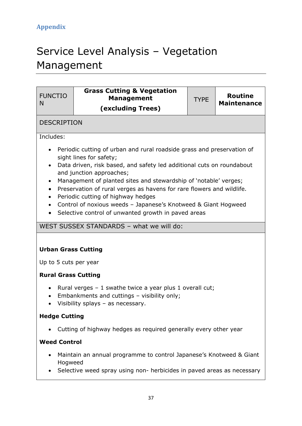# <span id="page-37-0"></span>Service Level Analysis – Vegetation Management

| <b>FUNCTIO</b><br>N                                                        | <b>Grass Cutting &amp; Vegetation</b><br><b>Management</b><br>(excluding Trees)                                                                                                                                                                                                                                                                                                                                                                                                                                    | <b>TYPE</b> | <b>Routine</b><br><b>Maintenance</b> |  |  |  |  |  |  |  |  |  |
|----------------------------------------------------------------------------|--------------------------------------------------------------------------------------------------------------------------------------------------------------------------------------------------------------------------------------------------------------------------------------------------------------------------------------------------------------------------------------------------------------------------------------------------------------------------------------------------------------------|-------------|--------------------------------------|--|--|--|--|--|--|--|--|--|
| <b>DESCRIPTION</b>                                                         |                                                                                                                                                                                                                                                                                                                                                                                                                                                                                                                    |             |                                      |  |  |  |  |  |  |  |  |  |
| Includes:                                                                  |                                                                                                                                                                                                                                                                                                                                                                                                                                                                                                                    |             |                                      |  |  |  |  |  |  |  |  |  |
| $\bullet$<br>$\bullet$<br>$\bullet$<br>$\bullet$<br>$\bullet$<br>$\bullet$ | Periodic cutting of urban and rural roadside grass and preservation of<br>sight lines for safety;<br>Data driven, risk based, and safety led additional cuts on roundabout<br>and junction approaches;<br>Management of planted sites and stewardship of 'notable' verges;<br>Preservation of rural verges as havens for rare flowers and wildlife.<br>Periodic cutting of highway hedges<br>Control of noxious weeds - Japanese's Knotweed & Giant Hogweed<br>Selective control of unwanted growth in paved areas |             |                                      |  |  |  |  |  |  |  |  |  |
|                                                                            | WEST SUSSEX STANDARDS - what we will do:                                                                                                                                                                                                                                                                                                                                                                                                                                                                           |             |                                      |  |  |  |  |  |  |  |  |  |
|                                                                            | <b>Urban Grass Cutting</b><br>Up to 5 cuts per year<br><b>Rural Grass Cutting</b>                                                                                                                                                                                                                                                                                                                                                                                                                                  |             |                                      |  |  |  |  |  |  |  |  |  |
| $\bullet$<br>$\bullet$<br>$\bullet$                                        | Rural verges - 1 swathe twice a year plus 1 overall cut;<br>Embankments and cuttings - visibility only;<br>Visibility splays - as necessary.                                                                                                                                                                                                                                                                                                                                                                       |             |                                      |  |  |  |  |  |  |  |  |  |
| <b>Hedge Cutting</b>                                                       |                                                                                                                                                                                                                                                                                                                                                                                                                                                                                                                    |             |                                      |  |  |  |  |  |  |  |  |  |
|                                                                            | Cutting of highway hedges as required generally every other year                                                                                                                                                                                                                                                                                                                                                                                                                                                   |             |                                      |  |  |  |  |  |  |  |  |  |
| <b>Weed Control</b>                                                        |                                                                                                                                                                                                                                                                                                                                                                                                                                                                                                                    |             |                                      |  |  |  |  |  |  |  |  |  |
|                                                                            | Maintain an annual programme to control Japanese's Knotweed & Giant<br>Hogweed<br>Selective weed spray using non- herbicides in paved areas as necessary                                                                                                                                                                                                                                                                                                                                                           |             |                                      |  |  |  |  |  |  |  |  |  |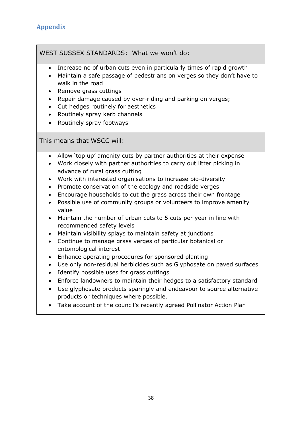WEST SUSSEX STANDARDS: What we won't do:

- Increase no of urban cuts even in particularly times of rapid growth
- Maintain a safe passage of pedestrians on verges so they don't have to walk in the road
- Remove grass cuttings
- Repair damage caused by over-riding and parking on verges;
- Cut hedges routinely for aesthetics
- Routinely spray kerb channels
- Routinely spray footways

This means that WSCC will:

- Allow 'top up' amenity cuts by partner authorities at their expense
- Work closely with partner authorities to carry out litter picking in advance of rural grass cutting
- Work with interested organisations to increase bio-diversity
- Promote conservation of the ecology and roadside verges
- Encourage households to cut the grass across their own frontage
- Possible use of community groups or volunteers to improve amenity value
- Maintain the number of urban cuts to 5 cuts per year in line with recommended safety levels
- Maintain visibility splays to maintain safety at junctions
- Continue to manage grass verges of particular botanical or entomological interest
- Enhance operating procedures for sponsored planting
- Use only non-residual herbicides such as Glyphosate on paved surfaces
- Identify possible uses for grass cuttings
- Enforce landowners to maintain their hedges to a satisfactory standard
- Use glyphosate products sparingly and endeavour to source alternative products or techniques where possible.
- Take account of the council's recently agreed Pollinator Action Plan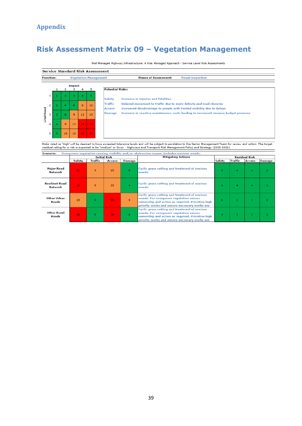# **Risk Assessment Matrix 09 – Vegetation Management**

Well Managed Highway Infrastructure: A Risk Managed Approach - Service Level Risk Assessments

|                  |                |                |    |        |    |    | <b>Service Standard Risk Assessment</b>                                                                                                                               |  |  |  |  |  |  |  |
|------------------|----------------|----------------|----|--------|----|----|-----------------------------------------------------------------------------------------------------------------------------------------------------------------------|--|--|--|--|--|--|--|
| <b>Function:</b> |                |                |    |        |    |    | <b>Means of Assessment:</b><br><b>Visual inspection</b><br><b>Vegetation Management</b>                                                                               |  |  |  |  |  |  |  |
|                  |                |                |    | Impact |    | 5. | <b>Potential Risks:</b>                                                                                                                                               |  |  |  |  |  |  |  |
|                  | 1              |                |    | 3      | 4  | 5  | <b>Safety</b><br>Increase in injuries and fatalities                                                                                                                  |  |  |  |  |  |  |  |
|                  | $\overline{2}$ | $\overline{2}$ | 4  | 6      | 8  | 10 | Traffic<br>Delayed movement to traffic due to more defects and road closures<br>Increased disadvantage to people with limited mobility due to delays<br><b>Access</b> |  |  |  |  |  |  |  |
| <b>Ikelihood</b> | з              | я              | 6  | 9      | 12 | 15 | Increase in reactive maintenance costs leading to increased revenue budget pressure<br><b>Damage</b>                                                                  |  |  |  |  |  |  |  |
|                  | 4              | 4              | 8  | 12     | 16 | 20 |                                                                                                                                                                       |  |  |  |  |  |  |  |
|                  | 5              | 5              | 10 | 15     | 20 | 25 |                                                                                                                                                                       |  |  |  |  |  |  |  |

Risks rated as 'High' will be deemed to have exceeded tolerance levels and will be subject to escalation to the Senior Management Team for review and action. The target<br>residual rating for a risk is expected to be 'medium'

<span id="page-39-0"></span>

|                                         |                 |                | <b>Initial Risk</b> |        | <b>Mitigating Actions</b>                                                                                                                                                                            | <b>Residual Risk</b> |                |               |                |
|-----------------------------------------|-----------------|----------------|---------------------|--------|------------------------------------------------------------------------------------------------------------------------------------------------------------------------------------------------------|----------------------|----------------|---------------|----------------|
|                                         | Safety          | <b>Traffic</b> | <b>Access</b>       | Damage |                                                                                                                                                                                                      | <b>Safety</b>        | Traffic        | <b>Access</b> | <b>Damage</b>  |
| <b>Major Road</b><br>Network            | 20              | 9              | 15                  |        | <b>Cyclic grass cutting and treatment of noxious</b><br>weeds.                                                                                                                                       | 6                    | 4              | 4             | 2              |
| <b>Resilient Road</b><br><b>Network</b> | 20              | 9              | 15                  |        | <b>Cyclic grass cutting and treatment of noxious</b><br>weeds.                                                                                                                                       | 6                    | $\overline{4}$ | 4             | $\overline{2}$ |
| Other Urban<br>Roads                    | 15              | 6.             | 25                  | 9      | <b>Cyclic grass cutting and treatment of noxious</b><br>weeds. For overgrown vegetation assess<br>ownership and action as required. Prioritise high<br>priority works and ensure neccesary works are |                      |                | 3             | $\overline{2}$ |
| <b>Other Rural</b><br>Roads             | 20 <sub>1</sub> | 6              | 20                  | 6      | <b>Cyclic grass cutting and treatment of noxious</b><br>weeds. For overgrown vegetation assess<br>ownership and action as required. Prioritise high<br>priority works and ensure neccesary works are | 4                    |                | 3.            |                |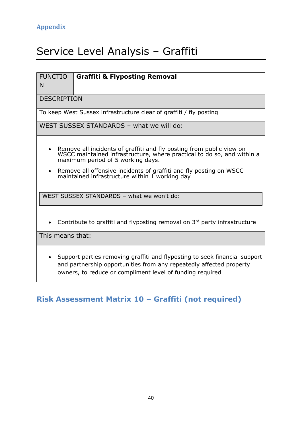# <span id="page-40-0"></span>Service Level Analysis – Graffiti

#### FUNCTIO **Graffiti & Flyposting Removal**

N

**DESCRIPTION** 

To keep West Sussex infrastructure clear of graffiti / fly posting

WEST SUSSEX STANDARDS – what we will do:

- Remove all incidents of graffiti and fly posting from public view on WSCC maintained infrastructure, where practical to do so, and within a maximum period of 5 working days.
- Remove all offensive incidents of graffiti and fly posting on WSCC maintained infrastructure within 1 working day

WEST SUSSEX STANDARDS – what we won't do:

• Contribute to graffiti and flyposting removal on  $3<sup>rd</sup>$  party infrastructure

This means that:

 Support parties removing graffiti and flyposting to seek financial support and partnership opportunities from any repeatedly affected property owners, to reduce or compliment level of funding required

# <span id="page-40-1"></span>**Risk Assessment Matrix 10 – Graffiti (not required)**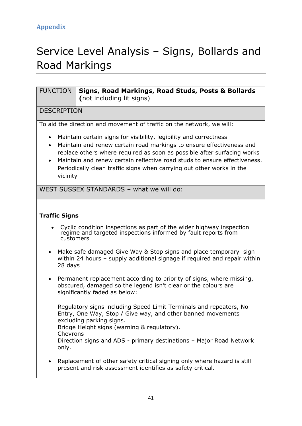# <span id="page-41-0"></span>Service Level Analysis – Signs, Bollards and Road Markings

| <b>FUNCTION</b>                                 | Signs, Road Markings, Road Studs, Posts & Bollards<br>(not including lit signs)                                                                                                                                                                                                                                                                                            |
|-------------------------------------------------|----------------------------------------------------------------------------------------------------------------------------------------------------------------------------------------------------------------------------------------------------------------------------------------------------------------------------------------------------------------------------|
| <b>DESCRIPTION</b>                              |                                                                                                                                                                                                                                                                                                                                                                            |
|                                                 | To aid the direction and movement of traffic on the network, we will:                                                                                                                                                                                                                                                                                                      |
| $\bullet$<br>$\bullet$<br>$\bullet$<br>vicinity | Maintain certain signs for visibility, legibility and correctness<br>Maintain and renew certain road markings to ensure effectiveness and<br>replace others where required as soon as possible after surfacing works<br>Maintain and renew certain reflective road studs to ensure effectiveness.<br>Periodically clean traffic signs when carrying out other works in the |
|                                                 | WEST SUSSEX STANDARDS - what we will do:                                                                                                                                                                                                                                                                                                                                   |
| <b>Traffic Signs</b>                            |                                                                                                                                                                                                                                                                                                                                                                            |
|                                                 | Cyclic condition inspections as part of the wider highway inspection<br>regime and targeted inspections informed by fault reports from<br>customers                                                                                                                                                                                                                        |
| $\bullet$<br>28 days                            | Make safe damaged Give Way & Stop signs and place temporary sign<br>within 24 hours – supply additional signage if required and repair within                                                                                                                                                                                                                              |
| $\bullet$                                       | Permanent replacement according to priority of signs, where missing,<br>obscured, damaged so the legend isn't clear or the colours are<br>significantly faded as below:                                                                                                                                                                                                    |
| Chevrons<br>only.                               | Regulatory signs including Speed Limit Terminals and repeaters, No<br>Entry, One Way, Stop / Give way, and other banned movements<br>excluding parking signs.<br>Bridge Height signs (warning & regulatory).<br>Direction signs and ADS - primary destinations - Major Road Network                                                                                        |
|                                                 | Replacement of other safety critical signing only where hazard is still<br>present and risk assessment identifies as safety critical.                                                                                                                                                                                                                                      |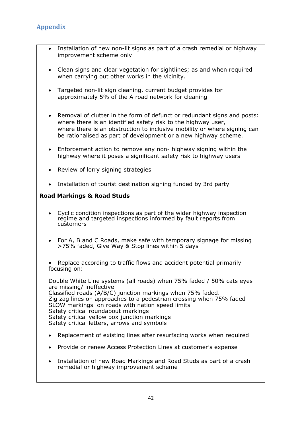- Installation of new non-lit signs as part of a crash remedial or highway improvement scheme only
- Clean signs and clear vegetation for sightlines; as and when required when carrying out other works in the vicinity.
- Targeted non-lit sign cleaning, current budget provides for approximately 5% of the A road network for cleaning
- Removal of clutter in the form of defunct or redundant signs and posts: where there is an identified safety risk to the highway user, where there is an obstruction to inclusive mobility or where signing can be rationalised as part of development or a new highway scheme.
- Enforcement action to remove any non- highway signing within the highway where it poses a significant safety risk to highway users
- Review of lorry signing strategies
- Installation of tourist destination signing funded by 3rd party

### **Road Markings & Road Studs**

- Cyclic condition inspections as part of the wider highway inspection regime and targeted inspections informed by fault reports from customers
- For A, B and C Roads, make safe with temporary signage for missing >75% faded, Give Way & Stop lines within 5 days
- Replace according to traffic flows and accident potential primarily focusing on:

Double White Line systems (all roads) when 75% faded / 50% cats eyes are missing/ ineffective Classified roads (A/B/C) junction markings when 75% faded. Zig zag lines on approaches to a pedestrian crossing when 75% faded SLOW markings on roads with nation speed limits Safety critical roundabout markings Safety critical yellow box junction markings Safety critical letters, arrows and symbols

- Replacement of existing lines after resurfacing works when required
- Provide or renew Access Protection Lines at customer's expense
- Installation of new Road Markings and Road Studs as part of a crash remedial or highway improvement scheme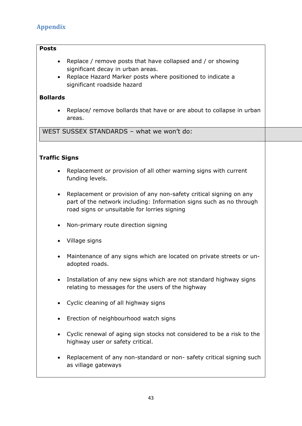### **Posts**

- Replace / remove posts that have collapsed and / or showing significant decay in urban areas.
- Replace Hazard Marker posts where positioned to indicate a significant roadside hazard

### **Bollards**

 Replace/ remove bollards that have or are about to collapse in urban areas.

WEST SUSSEX STANDARDS – what we won't do:

# **Traffic Signs**

- Replacement or provision of all other warning signs with current funding levels.
- Replacement or provision of any non-safety critical signing on any part of the network including: Information signs such as no through road signs or unsuitable for lorries signing
- Non-primary route direction signing
- Village signs
- Maintenance of any signs which are located on private streets or unadopted roads.
- Installation of any new signs which are not standard highway signs relating to messages for the users of the highway
- Cyclic cleaning of all highway signs
- Erection of neighbourhood watch signs
- Cyclic renewal of aging sign stocks not considered to be a risk to the highway user or safety critical.
- Replacement of any non-standard or non- safety critical signing such as village gateways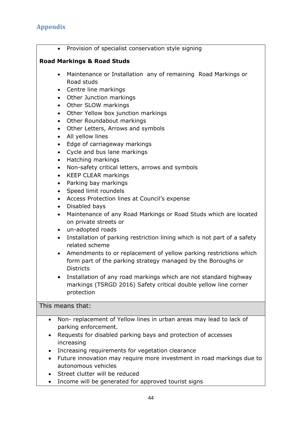• Provision of specialist conservation style signing

# **Road Markings & Road Studs**

- Maintenance or Installation any of remaining Road Markings or Road studs
- Centre line markings
- Other Junction markings
- Other SLOW markings
- Other Yellow box junction markings
- Other Roundabout markings
- Other Letters, Arrows and symbols
- All yellow lines
- Edge of carriageway markings
- Cycle and bus lane markings
- Hatching markings
- Non-safety critical letters, arrows and symbols
- KEEP CLEAR markings
- Parking bay markings
- Speed limit roundels
- Access Protection lines at Council's expense
- Disabled bays
- Maintenance of any Road Markings or Road Studs which are located on private streets or
- un-adopted roads
- Installation of parking restriction lining which is not part of a safety related scheme
- Amendments to or replacement of yellow parking restrictions which form part of the parking strategy managed by the Boroughs or **Districts**
- Installation of any road markings which are not standard highway markings (TSRGD 2016) Safety critical double yellow line corner protection

This means that:

- Non- replacement of Yellow lines in urban areas may lead to lack of parking enforcement.
- Requests for disabled parking bays and protection of accesses increasing
- Increasing requirements for vegetation clearance
- Future innovation may require more investment in road markings due to autonomous vehicles
- Street clutter will be reduced
- Income will be generated for approved tourist signs